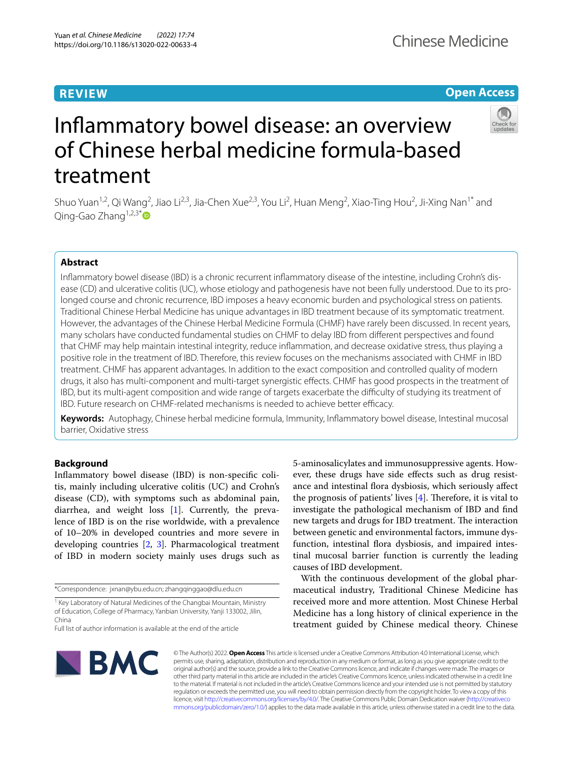# **REVIEW**

# **Open Access**



# Infammatory bowel disease: an overview of Chinese herbal medicine formula-based treatment

Shuo Yuan<sup>1,2</sup>, Qi Wang<sup>2</sup>, Jiao Li<sup>2,3</sup>, Jia-Chen Xue<sup>2,3</sup>, You Li<sup>2</sup>, Huan Meng<sup>2</sup>, Xiao-Ting Hou<sup>2</sup>, Ji-Xing Nan<sup>1\*</sup> and Qing-Gao Zhang<sup>1,2,3\*</sup> $\bullet$ 

# **Abstract**

Infammatory bowel disease (IBD) is a chronic recurrent infammatory disease of the intestine, including Crohn's dis‑ ease (CD) and ulcerative colitis (UC), whose etiology and pathogenesis have not been fully understood. Due to its prolonged course and chronic recurrence, IBD imposes a heavy economic burden and psychological stress on patients. Traditional Chinese Herbal Medicine has unique advantages in IBD treatment because of its symptomatic treatment. However, the advantages of the Chinese Herbal Medicine Formula (CHMF) have rarely been discussed. In recent years, many scholars have conducted fundamental studies on CHMF to delay IBD from diferent perspectives and found that CHMF may help maintain intestinal integrity, reduce infammation, and decrease oxidative stress, thus playing a positive role in the treatment of IBD. Therefore, this review focuses on the mechanisms associated with CHMF in IBD treatment. CHMF has apparent advantages. In addition to the exact composition and controlled quality of modern drugs, it also has multi-component and multi-target synergistic efects. CHMF has good prospects in the treatment of IBD, but its multi-agent composition and wide range of targets exacerbate the difculty of studying its treatment of IBD. Future research on CHMF-related mechanisms is needed to achieve better efficacy.

**Keywords:** Autophagy, Chinese herbal medicine formula, Immunity, Infammatory bowel disease, Intestinal mucosal barrier, Oxidative stress

# **Background**

Infammatory bowel disease (IBD) is non-specifc colitis, mainly including ulcerative colitis (UC) and Crohn's disease (CD), with symptoms such as abdominal pain, diarrhea, and weight loss [\[1](#page-13-0)]. Currently, the prevalence of IBD is on the rise worldwide, with a prevalence of 10–20% in developed countries and more severe in developing countries [\[2](#page-13-1), [3\]](#page-13-2). Pharmacological treatment of IBD in modern society mainly uses drugs such as

5-aminosalicylates and immunosuppressive agents. However, these drugs have side efects such as drug resistance and intestinal flora dysbiosis, which seriously affect the prognosis of patients' lives  $[4]$  $[4]$ . Therefore, it is vital to investigate the pathological mechanism of IBD and fnd new targets and drugs for IBD treatment. The interaction between genetic and environmental factors, immune dysfunction, intestinal flora dysbiosis, and impaired intestinal mucosal barrier function is currently the leading causes of IBD development.

With the continuous development of the global pharmaceutical industry, Traditional Chinese Medicine has received more and more attention. Most Chinese Herbal Medicine has a long history of clinical experience in the treatment guided by Chinese medical theory. Chinese



© The Author(s) 2022. **Open Access** This article is licensed under a Creative Commons Attribution 4.0 International License, which permits use, sharing, adaptation, distribution and reproduction in any medium or format, as long as you give appropriate credit to the original author(s) and the source, provide a link to the Creative Commons licence, and indicate if changes were made. The images or other third party material in this article are included in the article's Creative Commons licence, unless indicated otherwise in a credit line to the material. If material is not included in the article's Creative Commons licence and your intended use is not permitted by statutory regulation or exceeds the permitted use, you will need to obtain permission directly from the copyright holder. To view a copy of this licence, visit [http://creativecommons.org/licenses/by/4.0/.](http://creativecommons.org/licenses/by/4.0/) The Creative Commons Public Domain Dedication waiver ([http://creativeco](http://creativecommons.org/publicdomain/zero/1.0/) [mmons.org/publicdomain/zero/1.0/](http://creativecommons.org/publicdomain/zero/1.0/)) applies to the data made available in this article, unless otherwise stated in a credit line to the data.

<sup>\*</sup>Correspondence: jxnan@ybu.edu.cn; zhangqinggao@dlu.edu.cn

<sup>&</sup>lt;sup>1</sup> Key Laboratory of Natural Medicines of the Changbai Mountain, Ministry of Education, College of Pharmacy, Yanbian University, Yanji 133002, Jilin, China

Full list of author information is available at the end of the article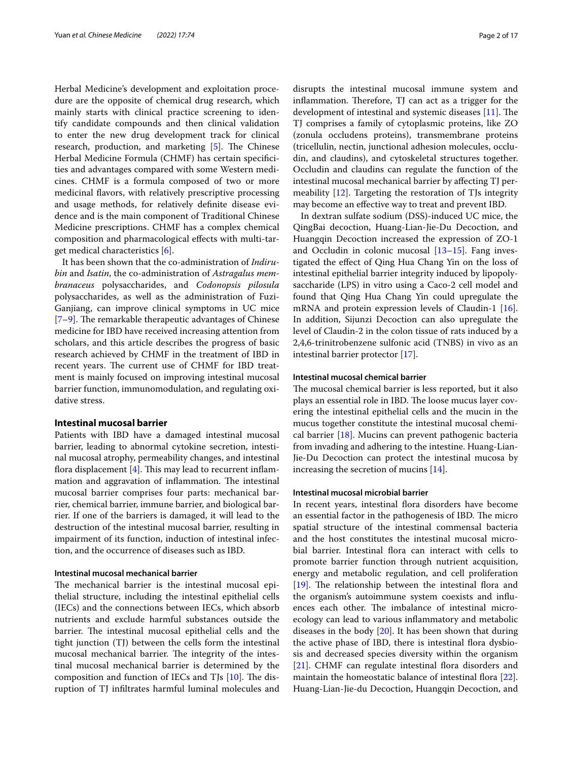Herbal Medicine's development and exploitation procedure are the opposite of chemical drug research, which mainly starts with clinical practice screening to identify candidate compounds and then clinical validation to enter the new drug development track for clinical research, production, and marketing [[5\]](#page-13-4). The Chinese Herbal Medicine Formula (CHMF) has certain specifcities and advantages compared with some Western medicines. CHMF is a formula composed of two or more medicinal favors, with relatively prescriptive processing and usage methods, for relatively defnite disease evidence and is the main component of Traditional Chinese Medicine prescriptions. CHMF has a complex chemical composition and pharmacological efects with multi-target medical characteristics [[6\]](#page-13-5).

It has been shown that the co-administration of *Indirubin* and *Isatin*, the co-administration of *Astragalus membranaceus* polysaccharides, and *Codonopsis pilosula* polysaccharides, as well as the administration of Fuzi-Ganjiang, can improve clinical symptoms in UC mice  $[7-9]$  $[7-9]$ . The remarkable therapeutic advantages of Chinese medicine for IBD have received increasing attention from scholars, and this article describes the progress of basic research achieved by CHMF in the treatment of IBD in recent years. The current use of CHMF for IBD treatment is mainly focused on improving intestinal mucosal barrier function, immunomodulation, and regulating oxidative stress.

## **Intestinal mucosal barrier**

Patients with IBD have a damaged intestinal mucosal barrier, leading to abnormal cytokine secretion, intestinal mucosal atrophy, permeability changes, and intestinal flora displacement  $[4]$  $[4]$ . This may lead to recurrent inflammation and aggravation of inflammation. The intestinal mucosal barrier comprises four parts: mechanical barrier, chemical barrier, immune barrier, and biological barrier. If one of the barriers is damaged, it will lead to the destruction of the intestinal mucosal barrier, resulting in impairment of its function, induction of intestinal infection, and the occurrence of diseases such as IBD.

# **Intestinal mucosal mechanical barrier**

The mechanical barrier is the intestinal mucosal epithelial structure, including the intestinal epithelial cells (IECs) and the connections between IECs, which absorb nutrients and exclude harmful substances outside the barrier. The intestinal mucosal epithelial cells and the tight junction (TJ) between the cells form the intestinal mucosal mechanical barrier. The integrity of the intestinal mucosal mechanical barrier is determined by the composition and function of IECs and TJs  $[10]$  $[10]$ . The disruption of TJ infltrates harmful luminal molecules and disrupts the intestinal mucosal immune system and inflammation. Therefore, TJ can act as a trigger for the development of intestinal and systemic diseases  $[11]$  $[11]$ . The TJ comprises a family of cytoplasmic proteins, like ZO (zonula occludens proteins), transmembrane proteins (tricellulin, nectin, junctional adhesion molecules, occludin, and claudins), and cytoskeletal structures together. Occludin and claudins can regulate the function of the intestinal mucosal mechanical barrier by afecting TJ permeability [\[12](#page-13-10)]. Targeting the restoration of TJs integrity may become an efective way to treat and prevent IBD.

In dextran sulfate sodium (DSS)-induced UC mice, the QingBai decoction, Huang-Lian-Jie-Du Decoction, and Huangqin Decoction increased the expression of ZO-1 and Occludin in colonic mucosal [[13](#page-13-11)[–15](#page-13-12)]. Fang investigated the efect of Qing Hua Chang Yin on the loss of intestinal epithelial barrier integrity induced by lipopolysaccharide (LPS) in vitro using a Caco-2 cell model and found that Qing Hua Chang Yin could upregulate the mRNA and protein expression levels of Claudin-1 [\[16](#page-13-13)]. In addition, Sijunzi Decoction can also upregulate the level of Claudin-2 in the colon tissue of rats induced by a 2,4,6-trinitrobenzene sulfonic acid (TNBS) in vivo as an intestinal barrier protector [\[17](#page-13-14)].

# **Intestinal mucosal chemical barrier**

The mucosal chemical barrier is less reported, but it also plays an essential role in IBD. The loose mucus layer covering the intestinal epithelial cells and the mucin in the mucus together constitute the intestinal mucosal chemical barrier [[18\]](#page-13-15). Mucins can prevent pathogenic bacteria from invading and adhering to the intestine. Huang-Lian-Jie-Du Decoction can protect the intestinal mucosa by increasing the secretion of mucins [[14\]](#page-13-16).

## **Intestinal mucosal microbial barrier**

In recent years, intestinal flora disorders have become an essential factor in the pathogenesis of IBD. The micro spatial structure of the intestinal commensal bacteria and the host constitutes the intestinal mucosal microbial barrier. Intestinal flora can interact with cells to promote barrier function through nutrient acquisition, energy and metabolic regulation, and cell proliferation  $[19]$  $[19]$ . The relationship between the intestinal flora and the organism's autoimmune system coexists and infuences each other. The imbalance of intestinal microecology can lead to various infammatory and metabolic diseases in the body [[20\]](#page-13-18). It has been shown that during the active phase of IBD, there is intestinal flora dysbiosis and decreased species diversity within the organism [[21\]](#page-13-19). CHMF can regulate intestinal flora disorders and maintain the homeostatic balance of intestinal flora [\[22](#page-13-20)]. Huang-Lian-Jie-du Decoction, Huangqin Decoction, and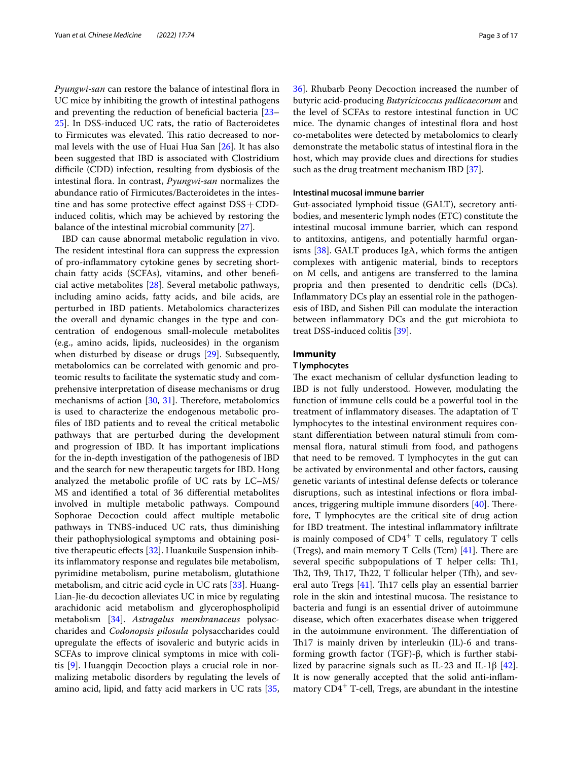*Pyungwi-san* can restore the balance of intestinal flora in UC mice by inhibiting the growth of intestinal pathogens and preventing the reduction of benefcial bacteria [[23–](#page-13-21) [25\]](#page-13-22). In DSS-induced UC rats, the ratio of Bacteroidetes to Firmicutes was elevated. This ratio decreased to normal levels with the use of Huai Hua San [\[26\]](#page-13-23). It has also been suggested that IBD is associated with Clostridium difficile (CDD) infection, resulting from dysbiosis of the intestinal fora. In contrast, *Pyungwi-san* normalizes the abundance ratio of Firmicutes/Bacteroidetes in the intestine and has some protective effect against  $DSS + CDD$ induced colitis, which may be achieved by restoring the balance of the intestinal microbial community [[27\]](#page-13-24).

IBD can cause abnormal metabolic regulation in vivo. The resident intestinal flora can suppress the expression of pro-infammatory cytokine genes by secreting shortchain fatty acids (SCFAs), vitamins, and other benefcial active metabolites [\[28](#page-13-25)]. Several metabolic pathways, including amino acids, fatty acids, and bile acids, are perturbed in IBD patients. Metabolomics characterizes the overall and dynamic changes in the type and concentration of endogenous small-molecule metabolites (e.g., amino acids, lipids, nucleosides) in the organism when disturbed by disease or drugs [\[29\]](#page-13-26). Subsequently, metabolomics can be correlated with genomic and proteomic results to facilitate the systematic study and comprehensive interpretation of disease mechanisms or drug mechanisms of action  $[30, 31]$  $[30, 31]$  $[30, 31]$  $[30, 31]$  $[30, 31]$ . Therefore, metabolomics is used to characterize the endogenous metabolic profles of IBD patients and to reveal the critical metabolic pathways that are perturbed during the development and progression of IBD. It has important implications for the in-depth investigation of the pathogenesis of IBD and the search for new therapeutic targets for IBD. Hong analyzed the metabolic profle of UC rats by LC–MS/ MS and identifed a total of 36 diferential metabolites involved in multiple metabolic pathways. Compound Sophorae Decoction could afect multiple metabolic pathways in TNBS-induced UC rats, thus diminishing their pathophysiological symptoms and obtaining posi-tive therapeutic effects [[32](#page-13-29)]. Huankuile Suspension inhibits infammatory response and regulates bile metabolism, pyrimidine metabolism, purine metabolism, glutathione metabolism, and citric acid cycle in UC rats [[33\]](#page-13-30). Huang-Lian-Jie-du decoction alleviates UC in mice by regulating arachidonic acid metabolism and glycerophospholipid metabolism [\[34\]](#page-13-31). *Astragalus membranaceus* polysaccharides and *Codonopsis pilosula* polysaccharides could upregulate the efects of isovaleric and butyric acids in SCFAs to improve clinical symptoms in mice with colitis [\[9](#page-13-7)]. Huangqin Decoction plays a crucial role in normalizing metabolic disorders by regulating the levels of amino acid, lipid, and fatty acid markers in UC rats [\[35](#page-13-32), [36\]](#page-13-33). Rhubarb Peony Decoction increased the number of butyric acid-producing *Butyricicoccus pullicaecorum* and the level of SCFAs to restore intestinal function in UC mice. The dynamic changes of intestinal flora and host co-metabolites were detected by metabolomics to clearly demonstrate the metabolic status of intestinal flora in the host, which may provide clues and directions for studies such as the drug treatment mechanism IBD [[37](#page-13-34)].

# **Intestinal mucosal immune barrier**

Gut-associated lymphoid tissue (GALT), secretory antibodies, and mesenteric lymph nodes (ETC) constitute the intestinal mucosal immune barrier, which can respond to antitoxins, antigens, and potentially harmful organisms [\[38](#page-14-0)]. GALT produces IgA, which forms the antigen complexes with antigenic material, binds to receptors on M cells, and antigens are transferred to the lamina propria and then presented to dendritic cells (DCs). Infammatory DCs play an essential role in the pathogenesis of IBD, and Sishen Pill can modulate the interaction between infammatory DCs and the gut microbiota to treat DSS-induced colitis [[39](#page-14-1)].

## **Immunity**

## **T lymphocytes**

The exact mechanism of cellular dysfunction leading to IBD is not fully understood. However, modulating the function of immune cells could be a powerful tool in the treatment of inflammatory diseases. The adaptation of T lymphocytes to the intestinal environment requires constant diferentiation between natural stimuli from commensal flora, natural stimuli from food, and pathogens that need to be removed. T lymphocytes in the gut can be activated by environmental and other factors, causing genetic variants of intestinal defense defects or tolerance disruptions, such as intestinal infections or flora imbalances, triggering multiple immune disorders  $[40]$  $[40]$ . Therefore, T lymphocytes are the critical site of drug action for IBD treatment. The intestinal inflammatory infiltrate is mainly composed of  $CD4^+$  T cells, regulatory T cells (Tregs), and main memory T Cells (Tcm)  $[41]$  $[41]$ . There are several specific subpopulations of  $T$  helper cells: Th<sub>1</sub>, Th2, Th9, Th17, Th22, T follicular helper (Tfh), and several auto Tregs  $[41]$  $[41]$ . Th17 cells play an essential barrier role in the skin and intestinal mucosa. The resistance to bacteria and fungi is an essential driver of autoimmune disease, which often exacerbates disease when triggered in the autoimmune environment. The differentiation of Th17 is mainly driven by interleukin (IL)-6 and transforming growth factor (TGF)-β, which is further stabi-lized by paracrine signals such as IL-23 and IL-1β [\[42](#page-14-4)]. It is now generally accepted that the solid anti-infammatory  $CD4^+$  T-cell, Tregs, are abundant in the intestine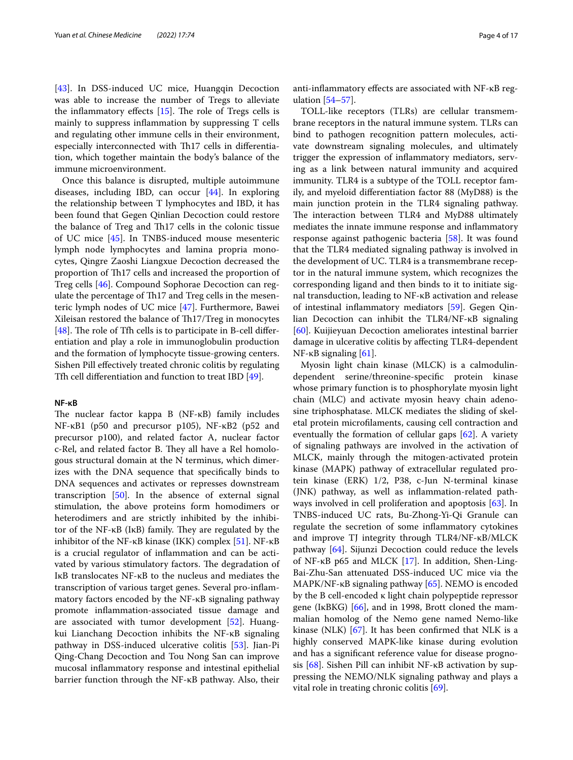[[43\]](#page-14-5). In DSS-induced UC mice, Huangqin Decoction was able to increase the number of Tregs to alleviate the inflammatory effects  $[15]$  $[15]$ . The role of Tregs cells is mainly to suppress infammation by suppressing T cells and regulating other immune cells in their environment, especially interconnected with Th17 cells in differentiation, which together maintain the body's balance of the immune microenvironment.

Once this balance is disrupted, multiple autoimmune diseases, including IBD, can occur [\[44\]](#page-14-6). In exploring the relationship between T lymphocytes and IBD, it has been found that Gegen Qinlian Decoction could restore the balance of Treg and Th17 cells in the colonic tissue of UC mice [[45\]](#page-14-7). In TNBS-induced mouse mesenteric lymph node lymphocytes and lamina propria monocytes, Qingre Zaoshi Liangxue Decoction decreased the proportion of Th17 cells and increased the proportion of Treg cells [\[46\]](#page-14-8). Compound Sophorae Decoction can regulate the percentage of Th17 and Treg cells in the mesenteric lymph nodes of UC mice [[47\]](#page-14-9). Furthermore, Bawei Xileisan restored the balance of Th17/Treg in monocytes [[48\]](#page-14-10). The role of Tfh cells is to participate in B-cell differentiation and play a role in immunoglobulin production and the formation of lymphocyte tissue-growing centers. Sishen Pill efectively treated chronic colitis by regulating Tfh cell diferentiation and function to treat IBD [[49\]](#page-14-11).

#### **NF‑κB**

The nuclear factor kappa  $B(NF-KB)$  family includes NF-κB1 (p50 and precursor p105), NF-κB2 (p52 and precursor p100), and related factor A, nuclear factor c-Rel, and related factor B. They all have a Rel homologous structural domain at the N terminus, which dimerizes with the DNA sequence that specifcally binds to DNA sequences and activates or represses downstream transcription [[50](#page-14-12)]. In the absence of external signal stimulation, the above proteins form homodimers or heterodimers and are strictly inhibited by the inhibitor of the NF- $\kappa$ B (I $\kappa$ B) family. They are regulated by the inhibitor of the NF-κB kinase (IKK) complex [[51](#page-14-13)]. NF-κB is a crucial regulator of infammation and can be activated by various stimulatory factors. The degradation of IκB translocates NF-κB to the nucleus and mediates the transcription of various target genes. Several pro-infammatory factors encoded by the NF-κB signaling pathway promote infammation-associated tissue damage and are associated with tumor development [[52\]](#page-14-14). Huangkui Lianchang Decoction inhibits the NF-κB signaling pathway in DSS-induced ulcerative colitis [\[53](#page-14-15)]. Jian-Pi Qing-Chang Decoction and Tou Nong San can improve mucosal infammatory response and intestinal epithelial barrier function through the NF-κB pathway. Also, their anti-infammatory efects are associated with NF-κB regulation [\[54–](#page-14-16)[57\]](#page-14-17).

TOLL-like receptors (TLRs) are cellular transmembrane receptors in the natural immune system. TLRs can bind to pathogen recognition pattern molecules, activate downstream signaling molecules, and ultimately trigger the expression of infammatory mediators, serving as a link between natural immunity and acquired immunity. TLR4 is a subtype of the TOLL receptor family, and myeloid diferentiation factor 88 (MyD88) is the main junction protein in the TLR4 signaling pathway. The interaction between TLR4 and MyD88 ultimately mediates the innate immune response and infammatory response against pathogenic bacteria [\[58\]](#page-14-18). It was found that the TLR4 mediated signaling pathway is involved in the development of UC. TLR4 is a transmembrane receptor in the natural immune system, which recognizes the corresponding ligand and then binds to it to initiate signal transduction, leading to NF-κB activation and release of intestinal infammatory mediators [\[59](#page-14-19)]. Gegen Qinlian Decoction can inhibit the TLR4/NF-κB signaling [[60\]](#page-14-20). Kuijieyuan Decoction ameliorates intestinal barrier damage in ulcerative colitis by afecting TLR4-dependent NF-κB signaling  $[61]$  $[61]$ .

Myosin light chain kinase (MLCK) is a calmodulindependent serine/threonine-specifc protein kinase whose primary function is to phosphorylate myosin light chain (MLC) and activate myosin heavy chain adenosine triphosphatase. MLCK mediates the sliding of skeletal protein microflaments, causing cell contraction and eventually the formation of cellular gaps [\[62](#page-14-22)]. A variety of signaling pathways are involved in the activation of MLCK, mainly through the mitogen-activated protein kinase (MAPK) pathway of extracellular regulated protein kinase (ERK) 1/2, P38, c-Jun N-terminal kinase (JNK) pathway, as well as infammation-related pathways involved in cell proliferation and apoptosis [\[63](#page-14-23)]. In TNBS-induced UC rats, Bu-Zhong-Yi-Qi Granule can regulate the secretion of some infammatory cytokines and improve TJ integrity through TLR4/NF-κB/MLCK pathway [[64](#page-14-24)]. Sijunzi Decoction could reduce the levels of NF-κB p65 and MLCK [[17\]](#page-13-14). In addition, Shen-Ling-Bai-Zhu-San attenuated DSS-induced UC mice via the MAPK/NF- $\kappa$ B signaling pathway [[65\]](#page-14-25). NEMO is encoded by the B cell-encoded κ light chain polypeptide repressor gene (IκBKG) [\[66\]](#page-14-26), and in 1998, Brott cloned the mammalian homolog of the Nemo gene named Nemo-like kinase (NLK) [[67\]](#page-14-27). It has been confrmed that NLK is a highly conserved MAPK-like kinase during evolution and has a signifcant reference value for disease prognosis [\[68](#page-14-28)]. Sishen Pill can inhibit NF-κB activation by suppressing the NEMO/NLK signaling pathway and plays a vital role in treating chronic colitis [[69\]](#page-14-29).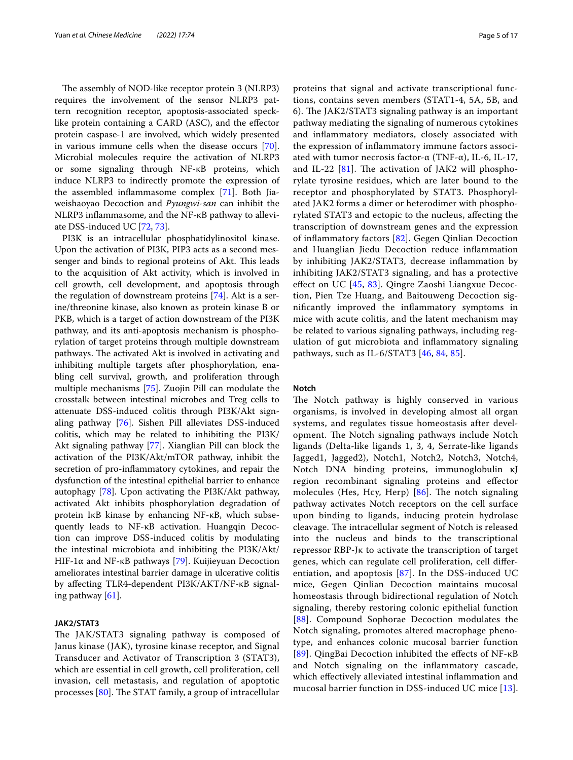The assembly of NOD-like receptor protein 3 (NLRP3) requires the involvement of the sensor NLRP3 pattern recognition receptor, apoptosis-associated specklike protein containing a CARD (ASC), and the efector protein caspase-1 are involved, which widely presented in various immune cells when the disease occurs [\[70](#page-14-30)]. Microbial molecules require the activation of NLRP3 or some signaling through NF-κB proteins, which induce NLRP3 to indirectly promote the expression of the assembled infammasome complex [\[71](#page-14-31)]. Both Jiaweishaoyao Decoction and *Pyungwi-san* can inhibit the NLRP3 infammasome, and the NF-κB pathway to alleviate DSS-induced UC [[72,](#page-14-32) [73](#page-14-33)].

PI3K is an intracellular phosphatidylinositol kinase. Upon the activation of PI3K, PIP3 acts as a second messenger and binds to regional proteins of Akt. This leads to the acquisition of Akt activity, which is involved in cell growth, cell development, and apoptosis through the regulation of downstream proteins [\[74\]](#page-14-34). Akt is a serine/threonine kinase, also known as protein kinase B or PKB, which is a target of action downstream of the PI3K pathway, and its anti-apoptosis mechanism is phosphorylation of target proteins through multiple downstream pathways. The activated Akt is involved in activating and inhibiting multiple targets after phosphorylation, enabling cell survival, growth, and proliferation through multiple mechanisms [[75\]](#page-14-35). Zuojin Pill can modulate the crosstalk between intestinal microbes and Treg cells to attenuate DSS-induced colitis through PI3K/Akt signaling pathway [[76\]](#page-14-36). Sishen Pill alleviates DSS-induced colitis, which may be related to inhibiting the PI3K/ Akt signaling pathway [[77\]](#page-14-37). Xianglian Pill can block the activation of the PI3K/Akt/mTOR pathway, inhibit the secretion of pro-infammatory cytokines, and repair the dysfunction of the intestinal epithelial barrier to enhance autophagy [\[78\]](#page-14-38). Upon activating the PI3K/Akt pathway, activated Akt inhibits phosphorylation degradation of protein IκB kinase by enhancing NF-κB, which subsequently leads to NF-κB activation. Huangqin Decoction can improve DSS-induced colitis by modulating the intestinal microbiota and inhibiting the PI3K/Akt/ HIF-1α and NF-κB pathways [[79](#page-14-39)]. Kuijieyuan Decoction ameliorates intestinal barrier damage in ulcerative colitis by afecting TLR4-dependent PI3K/AKT/NF-κB signaling pathway [\[61](#page-14-21)].

#### **JAK2/STAT3**

The JAK/STAT3 signaling pathway is composed of Janus kinase (JAK), tyrosine kinase receptor, and Signal Transducer and Activator of Transcription 3 (STAT3), which are essential in cell growth, cell proliferation, cell invasion, cell metastasis, and regulation of apoptotic processes  $[80]$  $[80]$ . The STAT family, a group of intracellular proteins that signal and activate transcriptional functions, contains seven members (STAT1-4, 5A, 5B, and 6). The JAK2/STAT3 signaling pathway is an important pathway mediating the signaling of numerous cytokines and infammatory mediators, closely associated with the expression of infammatory immune factors associated with tumor necrosis factor- $\alpha$  (TNF- $\alpha$ ), IL-6, IL-17, and IL-22  $[81]$  $[81]$ . The activation of JAK2 will phosphorylate tyrosine residues, which are later bound to the receptor and phosphorylated by STAT3. Phosphorylated JAK2 forms a dimer or heterodimer with phosphorylated STAT3 and ectopic to the nucleus, afecting the transcription of downstream genes and the expression of infammatory factors [\[82](#page-15-1)]. Gegen Qinlian Decoction and Huanglian Jiedu Decoction reduce infammation by inhibiting JAK2/STAT3, decrease infammation by inhibiting JAK2/STAT3 signaling, and has a protective efect on UC [\[45,](#page-14-7) [83](#page-15-2)]. Qingre Zaoshi Liangxue Decoction, Pien Tze Huang, and Baitouweng Decoction signifcantly improved the infammatory symptoms in mice with acute colitis, and the latent mechanism may be related to various signaling pathways, including regulation of gut microbiota and infammatory signaling pathways, such as IL-6/STAT3  $[46, 84, 85]$  $[46, 84, 85]$  $[46, 84, 85]$  $[46, 84, 85]$  $[46, 84, 85]$ .

#### **Notch**

The Notch pathway is highly conserved in various organisms, is involved in developing almost all organ systems, and regulates tissue homeostasis after development. The Notch signaling pathways include Notch ligands (Delta-like ligands 1, 3, 4, Serrate-like ligands Jagged1, Jagged2), Notch1, Notch2, Notch3, Notch4, Notch DNA binding proteins, immunoglobulin κJ region recombinant signaling proteins and efector molecules (Hes, Hcy, Herp)  $[86]$  $[86]$  $[86]$ . The notch signaling pathway activates Notch receptors on the cell surface upon binding to ligands, inducing protein hydrolase cleavage. The intracellular segment of Notch is released into the nucleus and binds to the transcriptional repressor RBP-Jκ to activate the transcription of target genes, which can regulate cell proliferation, cell diferentiation, and apoptosis [\[87](#page-15-6)]. In the DSS-induced UC mice, Gegen Qinlian Decoction maintains mucosal homeostasis through bidirectional regulation of Notch signaling, thereby restoring colonic epithelial function [[88](#page-15-7)]. Compound Sophorae Decoction modulates the Notch signaling, promotes altered macrophage phenotype, and enhances colonic mucosal barrier function [[89](#page-15-8)]. QingBai Decoction inhibited the efects of NF-κB and Notch signaling on the infammatory cascade, which efectively alleviated intestinal infammation and mucosal barrier function in DSS-induced UC mice [[13](#page-13-11)].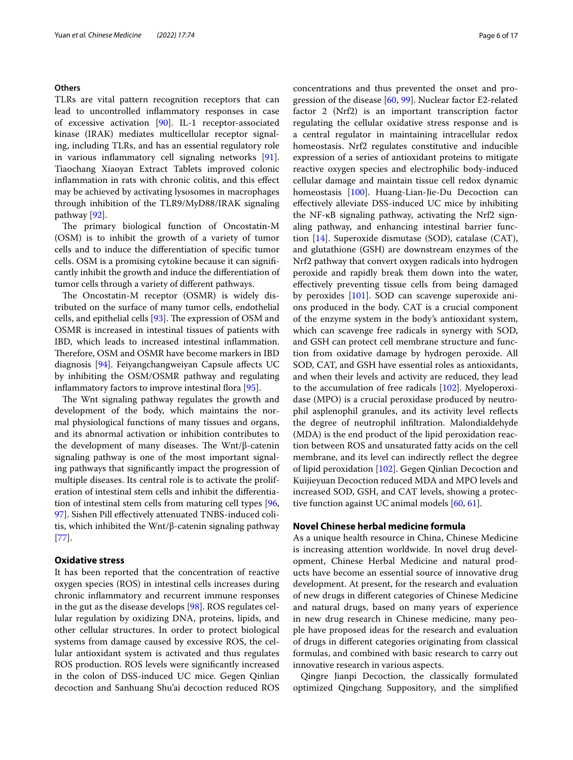### **Others**

TLRs are vital pattern recognition receptors that can lead to uncontrolled infammatory responses in case of excessive activation [[90\]](#page-15-9). IL-1 receptor-associated kinase (IRAK) mediates multicellular receptor signaling, including TLRs, and has an essential regulatory role in various infammatory cell signaling networks [\[91](#page-15-10)]. Tiaochang Xiaoyan Extract Tablets improved colonic infammation in rats with chronic colitis, and this efect may be achieved by activating lysosomes in macrophages through inhibition of the TLR9/MyD88/IRAK signaling pathway [\[92](#page-15-11)].

The primary biological function of Oncostatin-M (OSM) is to inhibit the growth of a variety of tumor cells and to induce the diferentiation of specifc tumor cells. OSM is a promising cytokine because it can signifcantly inhibit the growth and induce the diferentiation of tumor cells through a variety of diferent pathways.

The Oncostatin-M receptor (OSMR) is widely distributed on the surface of many tumor cells, endothelial cells, and epithelial cells  $[93]$  $[93]$ . The expression of OSM and OSMR is increased in intestinal tissues of patients with IBD, which leads to increased intestinal infammation. Therefore, OSM and OSMR have become markers in IBD diagnosis [\[94\]](#page-15-13). Feiyangchangweiyan Capsule afects UC by inhibiting the OSM/OSMR pathway and regulating inflammatory factors to improve intestinal flora [\[95](#page-15-14)].

The Wnt signaling pathway regulates the growth and development of the body, which maintains the normal physiological functions of many tissues and organs, and its abnormal activation or inhibition contributes to the development of many diseases. The Wnt/ $\beta$ -catenin signaling pathway is one of the most important signaling pathways that signifcantly impact the progression of multiple diseases. Its central role is to activate the proliferation of intestinal stem cells and inhibit the diferentiation of intestinal stem cells from maturing cell types [\[96](#page-15-15), [97\]](#page-15-16). Sishen Pill efectively attenuated TNBS-induced colitis, which inhibited the Wnt/β-catenin signaling pathway [[77\]](#page-14-37).

# **Oxidative stress**

It has been reported that the concentration of reactive oxygen species (ROS) in intestinal cells increases during chronic infammatory and recurrent immune responses in the gut as the disease develops [[98](#page-15-17)]. ROS regulates cellular regulation by oxidizing DNA, proteins, lipids, and other cellular structures. In order to protect biological systems from damage caused by excessive ROS, the cellular antioxidant system is activated and thus regulates ROS production. ROS levels were signifcantly increased in the colon of DSS-induced UC mice. Gegen Qinlian decoction and Sanhuang Shu'ai decoction reduced ROS concentrations and thus prevented the onset and progression of the disease [\[60](#page-14-20), [99\]](#page-15-18). Nuclear factor E2-related factor 2 (Nrf2) is an important transcription factor regulating the cellular oxidative stress response and is a central regulator in maintaining intracellular redox homeostasis. Nrf2 regulates constitutive and inducible expression of a series of antioxidant proteins to mitigate reactive oxygen species and electrophilic body-induced cellular damage and maintain tissue cell redox dynamic homeostasis [\[100](#page-15-19)]. Huang-Lian-Jie-Du Decoction can efectively alleviate DSS-induced UC mice by inhibiting the NF-κB signaling pathway, activating the Nrf2 signaling pathway, and enhancing intestinal barrier function [\[14\]](#page-13-16). Superoxide dismutase (SOD), catalase (CAT), and glutathione (GSH) are downstream enzymes of the Nrf2 pathway that convert oxygen radicals into hydrogen peroxide and rapidly break them down into the water, efectively preventing tissue cells from being damaged by peroxides [[101](#page-15-20)]. SOD can scavenge superoxide anions produced in the body. CAT is a crucial component of the enzyme system in the body's antioxidant system, which can scavenge free radicals in synergy with SOD, and GSH can protect cell membrane structure and function from oxidative damage by hydrogen peroxide. All SOD, CAT, and GSH have essential roles as antioxidants, and when their levels and activity are reduced, they lead to the accumulation of free radicals [[102\]](#page-15-21). Myeloperoxidase (MPO) is a crucial peroxidase produced by neutrophil asplenophil granules, and its activity level refects the degree of neutrophil infltration. Malondialdehyde (MDA) is the end product of the lipid peroxidation reaction between ROS and unsaturated fatty acids on the cell membrane, and its level can indirectly reflect the degree of lipid peroxidation [[102](#page-15-21)]. Gegen Qinlian Decoction and Kuijieyuan Decoction reduced MDA and MPO levels and increased SOD, GSH, and CAT levels, showing a protective function against UC animal models [[60,](#page-14-20) [61\]](#page-14-21).

#### **Novel Chinese herbal medicine formula**

As a unique health resource in China, Chinese Medicine is increasing attention worldwide. In novel drug development, Chinese Herbal Medicine and natural products have become an essential source of innovative drug development. At present, for the research and evaluation of new drugs in diferent categories of Chinese Medicine and natural drugs, based on many years of experience in new drug research in Chinese medicine, many people have proposed ideas for the research and evaluation of drugs in diferent categories originating from classical formulas, and combined with basic research to carry out innovative research in various aspects.

Qingre Jianpi Decoction, the classically formulated optimized Qingchang Suppository, and the simplifed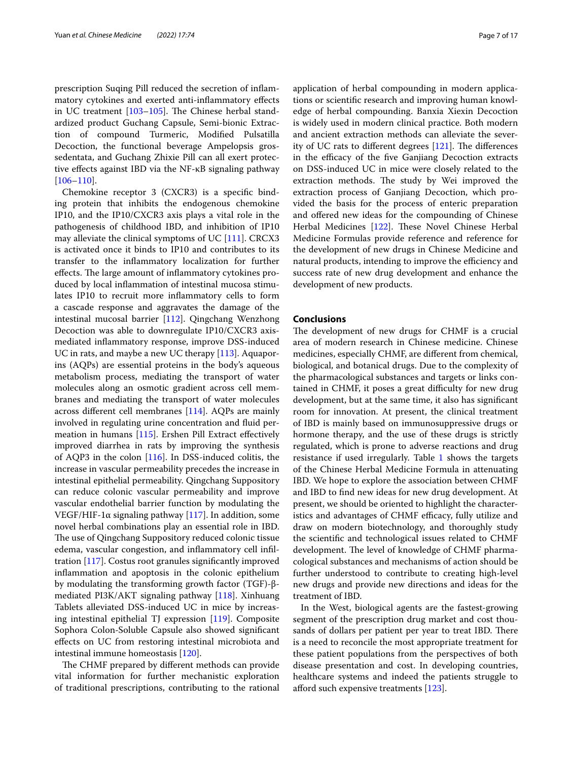prescription Suqing Pill reduced the secretion of infammatory cytokines and exerted anti-infammatory efects in UC treatment  $[103-105]$  $[103-105]$  $[103-105]$ . The Chinese herbal standardized product Guchang Capsule, Semi-bionic Extraction of compound Turmeric, Modifed Pulsatilla Decoction, the functional beverage Ampelopsis grossedentata, and Guchang Zhixie Pill can all exert protective efects against IBD via the NF-κB signaling pathway [[106–](#page-15-24)[110](#page-15-25)].

Chemokine receptor 3 (CXCR3) is a specifc binding protein that inhibits the endogenous chemokine IP10, and the IP10/CXCR3 axis plays a vital role in the pathogenesis of childhood IBD, and inhibition of IP10 may alleviate the clinical symptoms of UC [\[111\]](#page-15-26). CRCX3 is activated once it binds to IP10 and contributes to its transfer to the infammatory localization for further effects. The large amount of inflammatory cytokines produced by local infammation of intestinal mucosa stimulates IP10 to recruit more infammatory cells to form a cascade response and aggravates the damage of the intestinal mucosal barrier [[112](#page-15-27)]. Qingchang Wenzhong Decoction was able to downregulate IP10/CXCR3 axismediated infammatory response, improve DSS-induced UC in rats, and maybe a new UC therapy [[113](#page-15-28)]. Aquaporins (AQPs) are essential proteins in the body's aqueous metabolism process, mediating the transport of water molecules along an osmotic gradient across cell membranes and mediating the transport of water molecules across diferent cell membranes [[114\]](#page-15-29). AQPs are mainly involved in regulating urine concentration and fuid permeation in humans  $[115]$  $[115]$ . Ershen Pill Extract effectively improved diarrhea in rats by improving the synthesis of AQP3 in the colon [[116\]](#page-15-31). In DSS-induced colitis, the increase in vascular permeability precedes the increase in intestinal epithelial permeability. Qingchang Suppository can reduce colonic vascular permeability and improve vascular endothelial barrier function by modulating the VEGF/HIF-1α signaling pathway [\[117](#page-15-32)]. In addition, some novel herbal combinations play an essential role in IBD. The use of Qingchang Suppository reduced colonic tissue edema, vascular congestion, and inflammatory cell infiltration [\[117\]](#page-15-32). Costus root granules signifcantly improved infammation and apoptosis in the colonic epithelium by modulating the transforming growth factor (TGF)-βmediated PI3K/AKT signaling pathway [[118](#page-15-33)]. Xinhuang Tablets alleviated DSS-induced UC in mice by increasing intestinal epithelial TJ expression [[119](#page-15-34)]. Composite Sophora Colon-Soluble Capsule also showed signifcant efects on UC from restoring intestinal microbiota and intestinal immune homeostasis [\[120](#page-15-35)].

The CHMF prepared by different methods can provide vital information for further mechanistic exploration of traditional prescriptions, contributing to the rational application of herbal compounding in modern applications or scientifc research and improving human knowledge of herbal compounding. Banxia Xiexin Decoction is widely used in modern clinical practice. Both modern and ancient extraction methods can alleviate the severity of UC rats to different degrees  $[121]$  $[121]$ . The differences in the efficacy of the five Ganjiang Decoction extracts on DSS-induced UC in mice were closely related to the extraction methods. The study by Wei improved the extraction process of Ganjiang Decoction, which provided the basis for the process of enteric preparation and ofered new ideas for the compounding of Chinese Herbal Medicines [[122](#page-16-0)]. These Novel Chinese Herbal Medicine Formulas provide reference and reference for the development of new drugs in Chinese Medicine and natural products, intending to improve the efficiency and success rate of new drug development and enhance the development of new products.

# **Conclusions**

The development of new drugs for CHMF is a crucial area of modern research in Chinese medicine. Chinese medicines, especially CHMF, are diferent from chemical, biological, and botanical drugs. Due to the complexity of the pharmacological substances and targets or links contained in CHMF, it poses a great difficulty for new drug development, but at the same time, it also has signifcant room for innovation. At present, the clinical treatment of IBD is mainly based on immunosuppressive drugs or hormone therapy, and the use of these drugs is strictly regulated, which is prone to adverse reactions and drug resistance if used irregularly. Table [1](#page-7-0) shows the targets of the Chinese Herbal Medicine Formula in attenuating IBD. We hope to explore the association between CHMF and IBD to fnd new ideas for new drug development. At present, we should be oriented to highlight the characteristics and advantages of CHMF efficacy, fully utilize and draw on modern biotechnology, and thoroughly study the scientifc and technological issues related to CHMF development. The level of knowledge of CHMF pharmacological substances and mechanisms of action should be further understood to contribute to creating high-level new drugs and provide new directions and ideas for the treatment of IBD.

In the West, biological agents are the fastest-growing segment of the prescription drug market and cost thousands of dollars per patient per year to treat IBD. There is a need to reconcile the most appropriate treatment for these patient populations from the perspectives of both disease presentation and cost. In developing countries, healthcare systems and indeed the patients struggle to afford such expensive treatments  $[123]$  $[123]$ .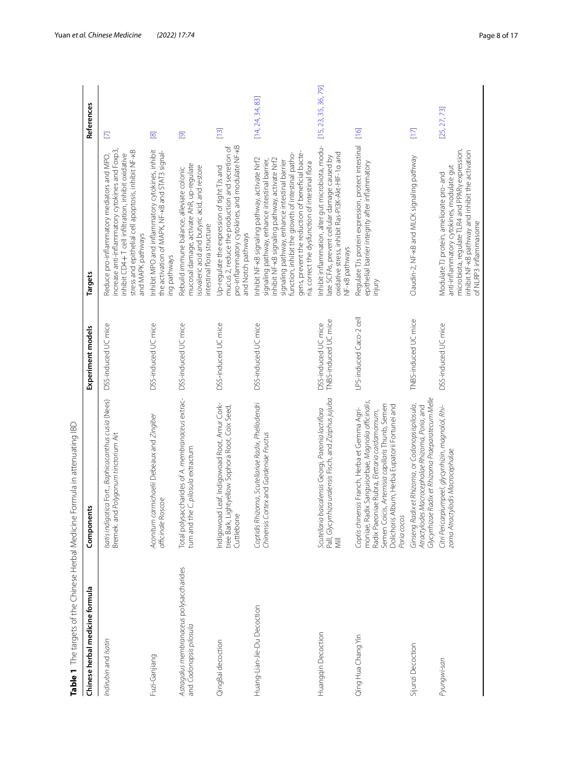<span id="page-7-0"></span>

| Table 1 The targets of the Chinese Herbal Medicine                 | Formula in attenuating IBD                                                                                                                                                                                                                                            |                                             |                                                                                                                                                                                                                                                                                                                                                                  |                                       |
|--------------------------------------------------------------------|-----------------------------------------------------------------------------------------------------------------------------------------------------------------------------------------------------------------------------------------------------------------------|---------------------------------------------|------------------------------------------------------------------------------------------------------------------------------------------------------------------------------------------------------------------------------------------------------------------------------------------------------------------------------------------------------------------|---------------------------------------|
| Chinese herbal medicine formula                                    | Components                                                                                                                                                                                                                                                            | Experiment models                           | <b>Targets</b>                                                                                                                                                                                                                                                                                                                                                   | References                            |
| Indirubin and Isatin                                               | Isatis indigotica Fort., Baphicacanthus cusia (Nees)<br>Bremek. and Polygonum tinctorium Ait                                                                                                                                                                          | DSS-induced UC mice                         | increase anti-inflammatory cytokines and Foxp3,<br>stress and epithelial cell apoptosis, inhibit NF-kB<br>nhibit CD4+T cell infiltration, inhibit oxidative<br>Reduce pro-inflammatory mediators and MPO,<br>and MAPK pathways                                                                                                                                   | $\mathbf E$                           |
| Fuzi-Ganjiang                                                      | Aconitum carmichaelii Debeaux and Zingiber<br>officinale Roscoe                                                                                                                                                                                                       | DSS-induced UC mice                         | Inhibit MPO and inflammatory cytokines, inhibit<br>the activation of MAPK, NF-KB and STAT3 signal-<br>ing pathways                                                                                                                                                                                                                                               | $\overline{\infty}$                   |
| Astragalus membranaceus polysaccharides<br>and Codonopsis pilosula | Total polysaccharides of A. membranaceus extrac-<br>tum and the C. pilosula extractum                                                                                                                                                                                 | DSS-induced UC mice                         | mucosal damage, activate AhR, up-regulate<br>isovaleric acid and butyric acid, and restore<br>Rebuild immune balance, alleviate colonic<br>intestinal flora structure                                                                                                                                                                                            | $\overline{\mathbf{C}}$               |
| QingBai decoction                                                  | Indigowoad Leaf, Indigowoad Root, Amur Cork-<br>tree Bark, Lightyellow Sophora Root, Coix Seed,<br>Cuttlebone                                                                                                                                                         | DSS-induced UC mice                         | pro-inflammatory cytokines, and modulate NF-kB<br>mucus 2, reduce the production and secretion of<br>Up-regulate the expression of tight TJs and<br>and Notch pathways                                                                                                                                                                                           | $\begin{bmatrix} 1 & 3 \end{bmatrix}$ |
| Huang-Lian-Jie-Du Decoction                                        | Coptidis Rhizoma, Scutellariae Radix, Phellodendri<br>Chinensis Cortex and Gardeniae Fructus                                                                                                                                                                          | DSS-induced UC mice                         | gens, prevent the reduction of beneficial bacte-<br>function, inhibit the growth of intestinal patho-<br>Inhibit NF-kB signaling pathway, activate Nrf2<br>inhibit NF-kB signaling pathway, activate Nrf2<br>signaling pathway, enhance intestinal barrier,<br>signaling pathway, enhance intestinal barrier<br>ria, correct the dysfunction of intestinal flora | [14, 24, 34, 83]                      |
| Huangqin Decoction                                                 | Pall, Glyc <i>yrthiza uralensis</i> Fisch, and <i>Ziziphus jujuba</i><br>Mill<br>Scutellaria baicalensis Georgi, Paeonia lactiflora                                                                                                                                   | TNBS-induced UC mice<br>DSS-induced UC mice | Inhibit inflammation, alter gut microbiota, modu-<br>oxidative stress, inhibit Ras-PI3K-Akt-HIF-1a and<br>late SCFAs, prevent cellular damage caused by<br>NF-kB pathways                                                                                                                                                                                        | [15, 23, 35, 36, 79]                  |
| Qing Hua Chang Yin                                                 | moniae, Radix Sanguisorbae, Magnolia officinalis,<br>Semen Coicis, Artemisia capillaris Thunb, Semen<br>Dolichoris Album, Herba Eupatorii Fortunei and<br>Coptis chinensis Franch, Herba et Gemma Agri-<br>Radix Paeoniae Rubra, Elettaria cardamomum,<br>Poria cocos | LPS-induced Caco-2 cell                     | Regulate TJs protein expression, protect intestinal<br>epithelial barrier integrity after inflammatory<br>injury                                                                                                                                                                                                                                                 | $[16]$                                |
| Sijunzi Decoction                                                  | Glycyrrhizae Radix et Rhizoma Praeparatecum Melle<br>Ginseng Radix et Rhizoma, or Codonopsispilosula,<br>Atractylodes Macrocephalae Rhizoma, Poria, and                                                                                                               | TNBS-induced UC mice                        | Claudin-2, NF-kB and MLCK signaling pathway                                                                                                                                                                                                                                                                                                                      | $[17]$                                |
| Pyungwi-san                                                        | Citri Pericarpiumpeel, glycyrrhizin, magnolol, Rhi-<br>zoma Atractylodis Macrocephalae                                                                                                                                                                                | DSS-induced UC mice                         | microbiota, regulate TLR4 and PPARy expression,<br>inhibit NF-kB pathway and inhibit the activation<br>anti-inflammatory cytokines, modulate gut<br>Modulate TJ protein, ameliorate pro- and<br>of NLRP3 inflammasome                                                                                                                                            | [25, 27, 73]                          |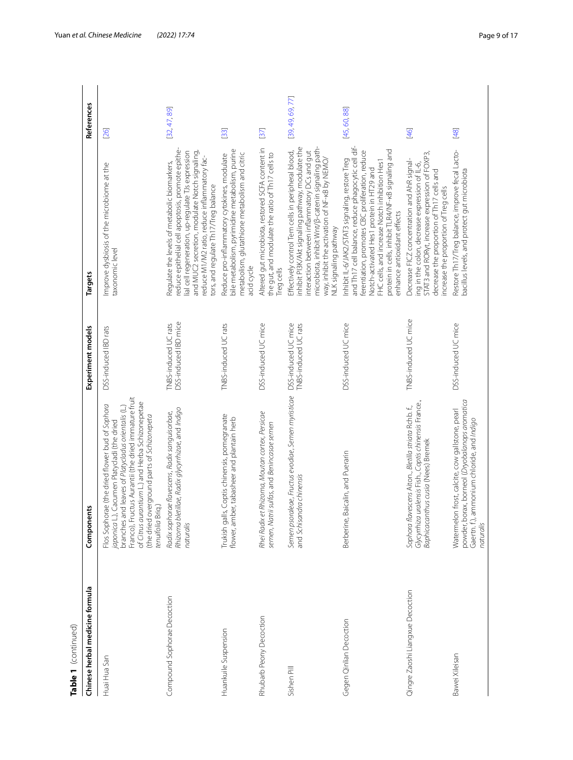| Table 1 (continued)              |                                                                                                                                                                                                                                                                                                                                   |                                              |                                                                                                                                                                                                                                                                                                                                             |                  |
|----------------------------------|-----------------------------------------------------------------------------------------------------------------------------------------------------------------------------------------------------------------------------------------------------------------------------------------------------------------------------------|----------------------------------------------|---------------------------------------------------------------------------------------------------------------------------------------------------------------------------------------------------------------------------------------------------------------------------------------------------------------------------------------------|------------------|
| Chinese herbal medicine formula  | Components                                                                                                                                                                                                                                                                                                                        | Experiment models                            | <b>Targets</b>                                                                                                                                                                                                                                                                                                                              | References       |
| Huai Hua San                     | Franco), Fructus Aurantii (the dried immature fruit<br>of Citrus aurantium L.) and Herba Schizonepetae<br>Flos Sophorae (the dried flower bud of Sophora<br>branches and leaves of Platycladus orientalis (L.)<br>(the dried overground parts of Schizonepeta<br>iaponica L.), Cacumen Platycladi (the dried<br>tenuifolia Briq.) | DSS-induced IBD rats                         | Improve dysbiosis of the microbiome at the<br>taxonomic level                                                                                                                                                                                                                                                                               | [26]             |
| Compound Sophorae Decoction      | Rhizoma bletillae, Radix glycyrrhizae, and Indigo<br>Radix sophorae flavescens, Radix sanguisorbae,<br>naturalis                                                                                                                                                                                                                  | DSS-induced IBD mice<br>TNBS-induced UC rats | reduce epithelial cell apoptosis, promote epithe-<br>lial cell regeneration, up-regulate TJs expression<br>and MUC2 secretion, modulate Notch signaling,<br>reduce M1/M2 ratio, reduce inflammatory fac-<br>Regulate the levels of metabolic biomarkers,<br>tors, and regulate Th17/Treg balance                                            | [32, 47, 89]     |
| Huankuile Suspension             | Trukish galls, Coptis chinensis, pomegranate<br>flower, amber, tabasheer and plantain herb                                                                                                                                                                                                                                        | TNBS-induced UC rats                         | bile metabolism, pyrimidine metabolism, purine<br>metabolism, glutathione metabolism and citric<br>Reduce pro-inflammatory cytokines, modulate<br>acid cycle                                                                                                                                                                                | $[33]$           |
| Rhubarb Peony Decoction          | Rhei Radix et Rhizoma, Moutan cortex, Persicae<br>semen, Natrii sulfas, and Benincasae semen                                                                                                                                                                                                                                      | DSS-induced UC mice                          | Altered gut microbiota, restored SCFA content in<br>the gut, and modulate the ratio of Th17 cells to<br>Treg cells                                                                                                                                                                                                                          | [37]             |
| Sishen Pill                      | Semen psoraleae, Fructus evodiae, Semen myristicae<br>and Schisandra chinensis                                                                                                                                                                                                                                                    | DSS-induced UC mice<br>TNBS-induced UC rats  | microbiota, inhibit Wnt/ß-catenin signaling path-<br>inhibit PI3K/Akt signaling pathway, modulate the<br>Effectively control Tem cells in peripheral blood,<br>interaction between inflammatory DCs and gut<br>way, inhibit the activation of NF-kB by NEMO/<br>NLK signaling pathway                                                       | [39, 49, 69, 77] |
| Gegen Qinlian Decoction          | Baicalin, and Puerarin<br>Berberine,                                                                                                                                                                                                                                                                                              | DSS-induced UC mice                          | and Th17 cell balance, reduce phagocytic cell dif-<br>protein in cells, inhibit TLR4/NF-KB signaling and<br>ferentiation, promotes CBC proliferation, reduce<br>Inhibit IL-6/JAK2/STAT3 signaling, restore Treg<br>FHC cells, and increase Notch inhibition Hes?<br>Notch-activated Hes1 protein in HT29 and<br>enhance antioxidant effects | [45,60,88]       |
| Qingre Zaoshi Liangxue Decoction | Glycyrrhiza uralensis Fish., Coptis chinensis France.,<br>Sophora flavescens Aiton., Bletilla striata Rchb. f.,<br>Baphicacanthus cusia (Nees) Bremek                                                                                                                                                                             | TNBS-induced UC mice                         | STAT3 and RORyt, increase expression of FOXP3,<br>Decrease FICZ concentration and AhR signal-<br>ing in the colon, decrease expression of IL-6,<br>decrease the proportion of Th17 cells and<br>increase the proportion of Treg cells                                                                                                       | [46]             |
| Bawei Xileisan                   | powder, borax, borneol (Dryobalanops aromatica<br>Watermelon frost, calcite, cow gallstone, pearl<br>ammonium chloride, and Indigo<br>Gaertn. f.),<br>naturalis                                                                                                                                                                   | DSS-induced UC mice                          | Restore Th17/Treg balance, improve fecal Lacto-<br>bacillus levels, and protect gut microbiota                                                                                                                                                                                                                                              | [48]             |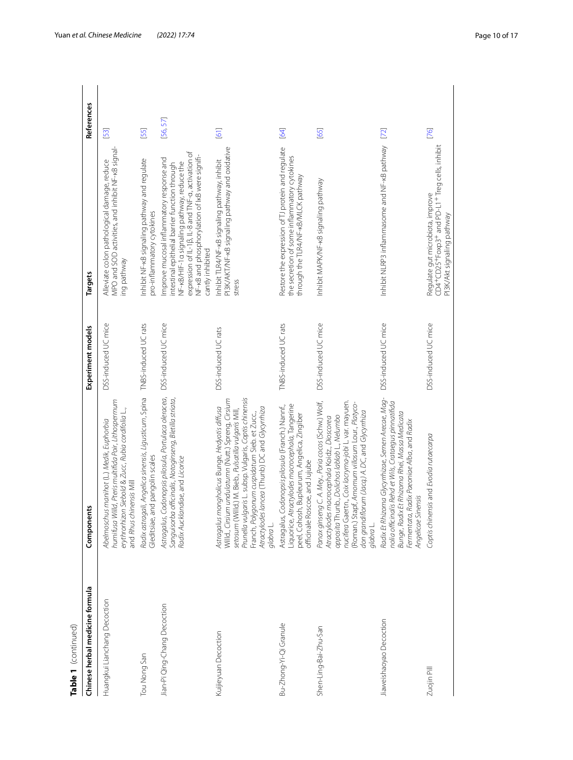| Table 1 (continued)             |                                                                                                                                                                                                                                                                                                                                       |                      |                                                                                                                                                                                                                                                                      |                                    |
|---------------------------------|---------------------------------------------------------------------------------------------------------------------------------------------------------------------------------------------------------------------------------------------------------------------------------------------------------------------------------------|----------------------|----------------------------------------------------------------------------------------------------------------------------------------------------------------------------------------------------------------------------------------------------------------------|------------------------------------|
| Chinese herbal medicine formula | Components                                                                                                                                                                                                                                                                                                                            | Experiment models    | Targets                                                                                                                                                                                                                                                              | References                         |
| Huangkui Lianchang Decoction    | humifusa Willd, Pteris multifida Poir, Lithospermum<br>erythrorhizon Siebold & Zucc, Rubia cordifolia L.,<br>Abelmoschus manihot (L.) Medik, Euphorbia<br>and Rhus chinensis Mill                                                                                                                                                     | DSS-induced UC mice  | MPO and SOD activities, and inhibit NF-KB signal-<br>Alleviate colon pathological damage, reduce<br>ing pathway                                                                                                                                                      | $\begin{bmatrix} 53 \end{bmatrix}$ |
| Tou Nong San                    | Radix astragali, Angelica sinensis, Ligusticum, Spina<br>Gleditsiae, and pangolin scales                                                                                                                                                                                                                                              | TNBS-induced UC rats | Inhibit NF-kB signaling pathway and regulate<br>pro-inflammatory cytokines                                                                                                                                                                                           | [55]                               |
| Jian-Pi Qing-Chang Decoction    | Astragalus, Codonopsis pilosula, Portulaca oleracea,<br>Sanguisorba officinalis, Notoginseng, Bletilla striata,<br>Radix Aucklandiae, and Licorice                                                                                                                                                                                    | DSS-induced UC mice  | NF-kB/HIF-1a signaling pathway, reduce the<br>expression of IL-1β, IL-8 and TNF-α, activation of<br>NF-KB and phosphorylation of IKB were signifi-<br>mprove mucosal inflammatory response and<br>intestinal epithelial barrier function through<br>cantly inhibited | [56,57]                            |
| Kuijieyuan Decoction            | Prunella vulgaris L. subsp. Vulgaris, Coptis chinensis<br>Willd., Cirsium undulatumn (Nutt.) Spreng, Cirsium<br>Astragalus mongholicus Bunge, Hedyotis diffusa<br>Atractylodes lancea (Thunb) DC and Glycyrrhiza<br>setosum (Willd.) M. Bieb., Pulsatilla vulgaris Mill,<br>Franch, Polygonum cuspidatum Sieb. et Zucc.,<br>glabra L. | DSS-induced UC rats  | PI3K/AKT/NF-kB signaling pathway and oxidative<br>Inhibit TLR4/NF-KB signaling pathway, inhibit<br>stress                                                                                                                                                            | [61]                               |
| Bu-Zhong-Yi-Qi Granule          | Liquorice, Atractylodes macrocephala, Tangerine<br>Astragalus, Codonopsis pilosula (Franch.) Nannf.,<br>peel, Cohosh, Bupleurum, Angelica, Zingiber<br>officinale Roscoe, and Jujube                                                                                                                                                  | TNBS-induced UC rats | Restore the expression of TJ protein and regulate<br>the secretion of some inflammatory cytokines<br>through the TLR4/NF-kB/MLCK pathway                                                                                                                             | 64                                 |
| Shen-Ling-Bai-Zhu-San           | Panax ginseng C. A. Mey., Poria cocos (Schw.) Wolf,<br>nucifera Gaertn., Coix lacryma-jobi L. var. mayuen.<br>(Roman.) Stapf, Amomum villosum Lour, Platyco-<br>don grandiflorum (Jacq.) A. DC, and Glycyrrhiza<br>opposita Thunb., Dolichos lablab L., Nelumbo<br>Atractylodes macrocephala Koidz., Dioscorea<br>glabra L.           | DSS-induced UC mice  | Inhibit MAPK/NF-KB signaling pathway                                                                                                                                                                                                                                 | [65]                               |
| Jiaweishaoyao Decoction         | Radix Et Rhizoma Glycyrrhizae, Semen Arecae, Mag-<br>nolia officinalis Rehd et Wils, Crataegus pinnatifida<br>Et Rhizoma Rhei, Massa Medicata<br>Fermentata, Radix Paeoniae Alba, and Radix<br>Angelicae Sinensis<br>Bunge, Radix                                                                                                     | DSS-induced UC mice  | Inhibit NLRP3 inflammasome and NF-KB pathway                                                                                                                                                                                                                         | $[72]$                             |
| Zuojin Pill                     | Coptis chinensis and Evodia rutaecarpa                                                                                                                                                                                                                                                                                                | DSS-induced UC mice  | CD4+CD25+Foxp3+ and PD-L1+Treg cells, inhibit<br>Regulate gut microbiota, improve<br>PI3K/Akt signaling pathway                                                                                                                                                      | [76]                               |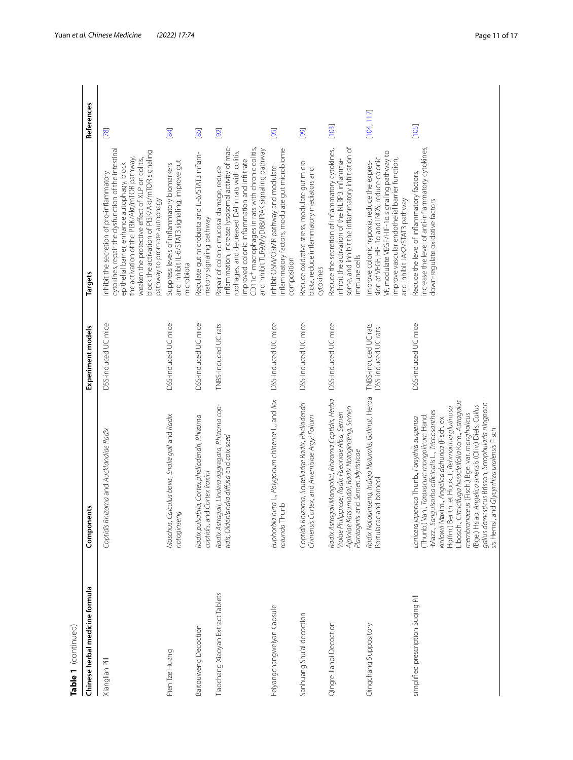| Table 1 (continued)                 |                                                                                                                                                                                                                                                                                                                                                                                                                                                                                                                              |                                             |                                                                                                                                                                                                                                                                                                                                       |            |
|-------------------------------------|------------------------------------------------------------------------------------------------------------------------------------------------------------------------------------------------------------------------------------------------------------------------------------------------------------------------------------------------------------------------------------------------------------------------------------------------------------------------------------------------------------------------------|---------------------------------------------|---------------------------------------------------------------------------------------------------------------------------------------------------------------------------------------------------------------------------------------------------------------------------------------------------------------------------------------|------------|
| Chinese herbal medicine formula     | Components                                                                                                                                                                                                                                                                                                                                                                                                                                                                                                                   | Experiment models                           | <b>Targets</b>                                                                                                                                                                                                                                                                                                                        | References |
| Xianglian Pill                      | Coptidis Rhizoma and Aucklandiae Radix                                                                                                                                                                                                                                                                                                                                                                                                                                                                                       | DSS-induced UC mice                         | cytokines, repair the dysfunction of the intestinal<br>block the activation of PI3K/Akt/mTOR signaling<br>the activation of the PI3K/Akt/mTOR pathway,<br>weaken the protective effect of XLP on colitis,<br>epithelial barrier, enhance autophagy, block<br>nhibit the secretion of pro-inflammatory<br>pathway to promote autophagy | [78]       |
| Pien Tze Huang                      | Moschus, Calculus bovis, Snake gall and Radix<br>notoginseng                                                                                                                                                                                                                                                                                                                                                                                                                                                                 | DSS-induced UC mice                         | and inhibit IL-6/STAT3 signaling, improve gut<br>Suppress levels of inflammatory biomarkers<br>microbiota                                                                                                                                                                                                                             | 84         |
| <b>Baitouweng Decoction</b>         | Radix pulsatilla, Cortex phellodendri, Rhizoma<br>coptidis, and Cortex fraxini                                                                                                                                                                                                                                                                                                                                                                                                                                               | DSS-induced UC mice                         | Regulate gut microbiota and IL-6/STAT3 inflam-<br>matory signaling pathway                                                                                                                                                                                                                                                            | 85         |
| Tiaochang Xiaoyan Extract Tablets   | Radix Astragali, Lindera aggregata, Rhizoma cop-<br>tidis, Oldenlandia diffusa and coix seed                                                                                                                                                                                                                                                                                                                                                                                                                                 | TNBS-induced UC rats                        | inflammation, increase lysosomal activity of mac-<br>CD11c <sup>+</sup> macrophages in rats with chronic colitis,<br>and inhibit TLR9/MyD88/IRAK signaling pathway<br>rophages, and decreased DAI in rats with colitis,<br>improved colonic inflammation and infiltrate<br>Repair of colonic mucosal damage, reduce                   | [92]       |
| Feiyangchangweiyan Capsule          | Euphorbia hirta L., Polygonum chinense L., and Ilex<br>rotunda Thunb                                                                                                                                                                                                                                                                                                                                                                                                                                                         | DSS-induced UC mice                         | inflammatory factors, modulate gut microbiome<br>Inhibit OSM/OSMR pathway and modulate<br>composition                                                                                                                                                                                                                                 | [95]       |
| Sanhuang Shu'ai decoction           | Coptidis Rhizoma, Scutellariae Radix, Phellodendri<br>Chinensis Cortex, and Artemisiae Argyi Folium                                                                                                                                                                                                                                                                                                                                                                                                                          | DSS-induced UC mice                         | Reduce oxidative stress, modulate gut micro-<br>biota, reduce inflammatory mediators and<br>cytokines                                                                                                                                                                                                                                 | [99]       |
| Qingre Jianpi Decoction             | Radix Astragali Mongolici, Rhizoma Coptidis, Herba<br>Alpiniae Katsumadai, Radix Notoginseng, Semen<br>Violae Philippicae, Radix Paeoniae Alba, Semen<br>Plantaginis and Semen Myristicae                                                                                                                                                                                                                                                                                                                                    | DSS-induced UC mice                         | some, and inhibit the inflammatory infiltration of<br>Reduce the secretion of inflammatory cytokines,<br>inhibit the activation of the NLRP3 inflamma-<br>immune cells                                                                                                                                                                | [103]      |
| Qingchang Suppository               | Radix Notoginseng, Indigo Naturalis, Gallnut, Herba<br>Portulacae and borneol                                                                                                                                                                                                                                                                                                                                                                                                                                                | TNBS-induced UC rats<br>DSS-induced UC rats | VP, modulate VEGF/HIF-1 a signaling pathway to<br>sion of VEGF, HIF-1a and INOS, reduce colonic<br>improve vascular endothelial barrier function,<br>Improve colonic hypoxia, reduce the expres-<br>and inhibit JAK2/STAT3 pathway                                                                                                    | [104, 117] |
| simplified prescription Suqing Pill | Libosch., Cimicifuga heracleifolia Kom., Astragalus<br>gallus domesticus Brisson, Scrophularia ningpoen-<br>(Bge.) Hsiao, Angelica sinensis (Oliv.) Diels, Callus<br>Hoffm.) Benth. et Hook. f., Rehmannia glutinosa<br>-Mazz., Sanguisorba officinalis L., Trichosanthes<br>membranaceus (Fisch.) Bge. var. mongholicus<br>(Thunb.) Vahl, <i>Taraxacum mongolicum</i> Hand.<br>Lonicera japonica Thunb., Forsythia suspensa<br>kirilowii Maxim., Angelica dahurica (Fisch. ex<br>sis Hemsl, and Glycyrrhiza uralensis Fisch | DSS-induced UC mice                         | increase the level of anti-inflammatory cytokines,<br>Reduce the level of inflammatory factors,<br>down-regulate oxidative factors                                                                                                                                                                                                    | [105]      |

Yuan *et al. Chinese Medicine (2022) 17:74* Page 11 of 17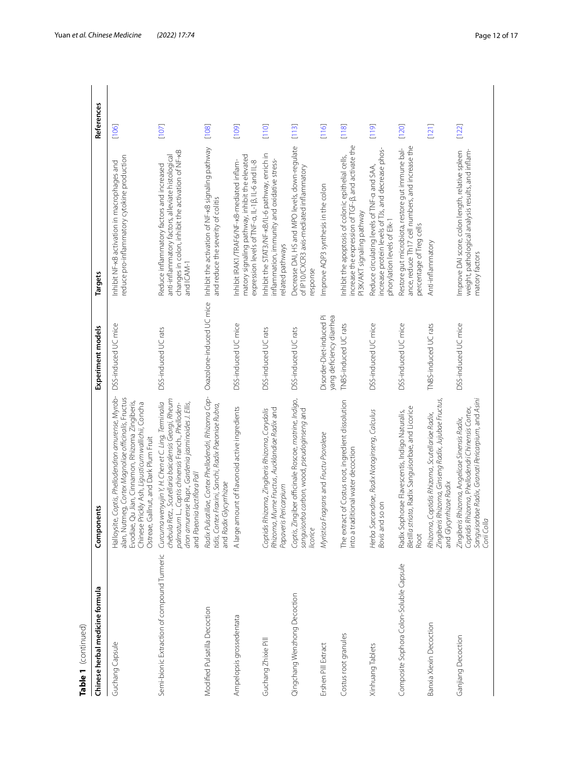| Table 1 (continued)                         |                                                                                                                                                                                                                                                            |                                                      |                                                                                                                                                                   |                                           |
|---------------------------------------------|------------------------------------------------------------------------------------------------------------------------------------------------------------------------------------------------------------------------------------------------------------|------------------------------------------------------|-------------------------------------------------------------------------------------------------------------------------------------------------------------------|-------------------------------------------|
| Chinese herbal medicine formula             | Components                                                                                                                                                                                                                                                 | Experiment models                                    | Targets                                                                                                                                                           | References                                |
| Guchang Capsule                             | Halloysite, Coptis, Phellodendron amurense, Myrob-<br>alan, Nutmeg, Cortex Magnoliae officinalis, Fructus<br>Evodiae, Qu Jian, Cinnamon, Rhizoma Zingiberis,<br>Chinese Prickly Ash, Ligusticum wallichii, Concha<br>Ostreae, Gallnut, and Dark Plum Fruit | DSS-induced UC mice                                  | reduce pro-inflammatory cytokine production<br>Inhibit NF-KB activation in macrophages and                                                                        | [106]                                     |
| Semi-bionic Extraction of compound Turmeric | chebula Retz., Scutellaria baicalensis Georgi, Rheum<br>Curcuma wenyujin Y, H. Chen et C. Ling, Terminalia<br>dron amurense Rupr., Gardenia jasminoides J. Ellis,<br>palmatum L., Coptis chinensis Franch., Phelloden-<br>and Paeonia lactiflora Pall      | DSS-induced UC rats                                  | changes in colon, inhibit the activation of NF-KB<br>anti-inflammatory factors, alleviate histological<br>Reduce inflammatory factors and increased<br>and ICAM-1 | [107]                                     |
| Modified Pulsatilla Decoction               | Radix Pulsatillae, Cortex Phellodendri, Rhizoma Cop-<br>tidis, Cortex Fraxini, Sanchi, Radix Paeoniae Rubra,<br>and Radix Glycyrrhizae                                                                                                                     | Oxazolone-induced UC mice                            | Inhibit the activation of NF-kB signaling pathway<br>and reduce the severity of colitis                                                                           | [108]                                     |
| Ampelopsis grossedentata                    | A large amount of flavonoid active ingredients                                                                                                                                                                                                             | DSS-induced UC mice                                  | matory signaling pathway, inhibit the elevated<br>Inhibit IRAK1/TRAF6/NF-KB-mediated inflam-<br>expression levels of TNF-a, IL-18, IL-6 and IL-8                  | [109]                                     |
| Guchang Zhixie Pill                         | Rhizoma, Mume Fructus, Aucklandiae Radix and<br>Coptidis Rhizoma, Zingiberis Rhizoma, Corydalis<br>Papaveris Pericarpium                                                                                                                                   | DSS-induced UC rats                                  | Inhibit the STAT3/NF-kB/IL-6 pathway, enrich in<br>inflammation, immunity and oxidative stress-<br>related pathways                                               | [110]                                     |
| Qingchang Wenzhong Decoction                | Coptis, Zingiber officinale Roscoe, matrine, Indigo,<br>sanguisorba carbon, wood, pseudoginseng and<br>licorice                                                                                                                                            | DSS-induced UC rats                                  | Decrease DAI, HS and MPO levels, down-regulate<br>of IP10/CXCR3 axis-mediated inflammatory<br>response                                                            | $\begin{bmatrix} 1 & 1 & 3 \end{bmatrix}$ |
| Ershen Pill Extract                         | Myristica Fragrans and Fructu Psoraleae                                                                                                                                                                                                                    | Disorder-Diet-induced Pi<br>yang deficiency diarrhea | Improve AQP3 synthesis in the colon                                                                                                                               | [116]                                     |
| Costus root granules                        | of Costus root, ingredient dissolution<br>ional water decoction<br>into a traditi<br>The extract                                                                                                                                                           | TNBS-induced UC rats                                 | increase the expression of TGF-B, and activate the<br>Inhibit the apoptosis of colonic epithelial cells,<br>PI3K/AKT signaling pathway                            | $\frac{18}{2}$                            |
| Xinhuang Tablets                            | Herba Sarcandrae, Radix Notoginseng, Calculus<br>$\overline{5}$<br>Bovis and so                                                                                                                                                                            | DSS-induced UC mice                                  | increase protein levels of TJs, and decrease phos-<br>Reduce circulating levels of TNF-a and SAA,<br>phorylation levels of Elk-1                                  | [119]                                     |
| Composite Sophora Colon-Soluble Capsule     | Bletilla striata, Radix Sanguisorbae, and Licorice<br>Radix Sophorae Flavescentis, Indigo Naturalis,<br>Root                                                                                                                                               | DSS-induced UC mice                                  | ance, reduce Th17 cell numbers, and increase the<br>Restore gut microbiota, restore gut immune bal-<br>percentage of Treg cells                                   | [120]                                     |
| Banxia Xiexin Decoction                     | Zingiberis Rhizoma, Ginseng Radix, Jujubae Fructus,<br>Rhizoma, Coptidis Rhizoma, Scutellariae Radix,<br>and Glycyrrhizae Radix                                                                                                                            | TNBS-induced UC rats                                 | Anti-inflammatory                                                                                                                                                 | $[121]$                                   |
| Ganjiang Decoction                          | Sanguisorbae Radix, Granati Pericarpium, and Asini<br>Coptidis Rhizoma, Phellodendri Chinensis Cortex,<br>Zingiberis Rhizoma, Angelicae Sinensis Radix,<br>Corii Colla                                                                                     | DSS-induced UC mice                                  | weight, pathological analysis results, and inflam-<br>Improve DAI score, colon length, relative spleen<br>matory factors                                          | [122]                                     |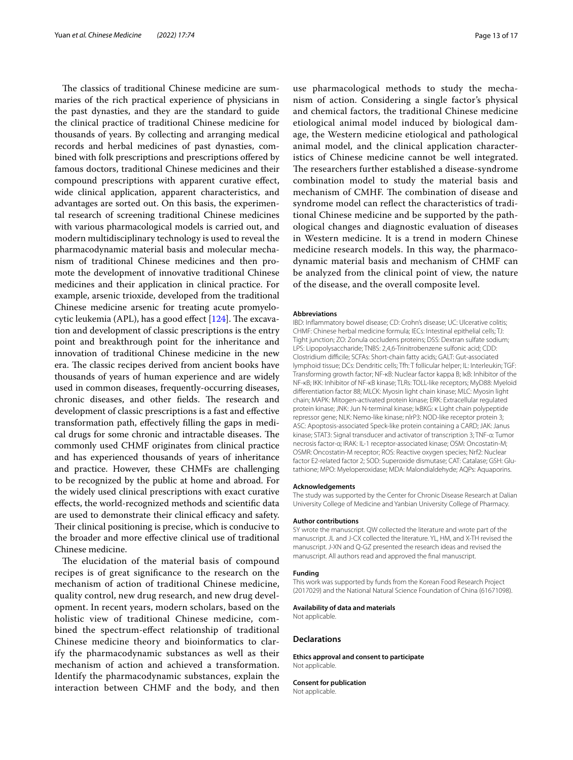The classics of traditional Chinese medicine are summaries of the rich practical experience of physicians in the past dynasties, and they are the standard to guide the clinical practice of traditional Chinese medicine for thousands of years. By collecting and arranging medical records and herbal medicines of past dynasties, combined with folk prescriptions and prescriptions ofered by famous doctors, traditional Chinese medicines and their compound prescriptions with apparent curative efect, wide clinical application, apparent characteristics, and advantages are sorted out. On this basis, the experimental research of screening traditional Chinese medicines with various pharmacological models is carried out, and modern multidisciplinary technology is used to reveal the pharmacodynamic material basis and molecular mechanism of traditional Chinese medicines and then promote the development of innovative traditional Chinese medicines and their application in clinical practice. For example, arsenic trioxide, developed from the traditional Chinese medicine arsenic for treating acute promyelocytic leukemia (APL), has a good effect  $[124]$  $[124]$ . The excavation and development of classic prescriptions is the entry point and breakthrough point for the inheritance and innovation of traditional Chinese medicine in the new era. The classic recipes derived from ancient books have thousands of years of human experience and are widely used in common diseases, frequently-occurring diseases, chronic diseases, and other fields. The research and development of classic prescriptions is a fast and efective transformation path, efectively flling the gaps in medical drugs for some chronic and intractable diseases. The commonly used CHMF originates from clinical practice and has experienced thousands of years of inheritance and practice. However, these CHMFs are challenging to be recognized by the public at home and abroad. For the widely used clinical prescriptions with exact curative efects, the world-recognized methods and scientifc data are used to demonstrate their clinical efficacy and safety. Their clinical positioning is precise, which is conducive to the broader and more efective clinical use of traditional Chinese medicine.

The elucidation of the material basis of compound recipes is of great signifcance to the research on the mechanism of action of traditional Chinese medicine, quality control, new drug research, and new drug development. In recent years, modern scholars, based on the holistic view of traditional Chinese medicine, combined the spectrum-efect relationship of traditional Chinese medicine theory and bioinformatics to clarify the pharmacodynamic substances as well as their mechanism of action and achieved a transformation. Identify the pharmacodynamic substances, explain the interaction between CHMF and the body, and then

use pharmacological methods to study the mechanism of action. Considering a single factor's physical and chemical factors, the traditional Chinese medicine etiological animal model induced by biological damage, the Western medicine etiological and pathological animal model, and the clinical application characteristics of Chinese medicine cannot be well integrated. The researchers further established a disease-syndrome combination model to study the material basis and mechanism of CMHF. The combination of disease and syndrome model can refect the characteristics of traditional Chinese medicine and be supported by the pathological changes and diagnostic evaluation of diseases in Western medicine. It is a trend in modern Chinese medicine research models. In this way, the pharmacodynamic material basis and mechanism of CHMF can be analyzed from the clinical point of view, the nature of the disease, and the overall composite level.

#### **Abbreviations**

IBD: Infammatory bowel disease; CD: Crohn's disease; UC: Ulcerative colitis; CHMF: Chinese herbal medicine formula; IECs: Intestinal epithelial cells; TJ: Tight junction; ZO: Zonula occludens proteins; DSS: Dextran sulfate sodium; LPS: Lipopolysaccharide; TNBS: 2,4,6-Trinitrobenzene sulfonic acid; CDD: Clostridium difficile; SCFAs: Short-chain fatty acids; GALT: Gut-associated lymphoid tissue; DCs: Dendritic cells; Tfh: T follicular helper; IL: Interleukin; TGF: Transforming growth factor; NF-κB: Nuclear factor kappa B; IκB: Inhibitor of the NF-κB; IKK: Inhibitor of NF-κB kinase; TLRs: TOLL-like receptors; MyD88: Myeloid diferentiation factor 88; MLCK: Myosin light chain kinase; MLC: Myosin light chain; MAPK: Mitogen-activated protein kinase; ERK: Extracellular regulated protein kinase; JNK: Jun N-terminal kinase; IκBKG: κ Light chain polypeptide repressor gene; NLK: Nemo-like kinase; nlrP3: NOD-like receptor protein 3; ASC: Apoptosis-associated Speck-like protein containing a CARD; JAK: Janus kinase; STAT3: Signal transducer and activator of transcription 3; TNF-α: Tumor necrosis factor-α; IRAK: IL-1 receptor-associated kinase; OSM: Oncostatin-M; OSMR: Oncostatin-M receptor; ROS: Reactive oxygen species; Nrf2: Nuclear factor E2-related factor 2; SOD: Superoxide dismutase; CAT: Catalase; GSH: Glutathione; MPO: Myeloperoxidase; MDA: Malondialdehyde; AQPs: Aquaporins.

#### **Acknowledgements**

The study was supported by the Center for Chronic Disease Research at Dalian University College of Medicine and Yanbian University College of Pharmacy.

#### **Author contributions**

SY wrote the manuscript. QW collected the literature and wrote part of the manuscript. JL and J-CX collected the literature. YL, HM, and X-TH revised the manuscript. J-XN and Q-GZ presented the research ideas and revised the manuscript. All authors read and approved the fnal manuscript.

#### **Funding**

This work was supported by funds from the Korean Food Research Project (2017029) and the National Natural Science Foundation of China (61671098).

#### **Availability of data and materials**

Not applicable.

#### **Declarations**

**Ethics approval and consent to participate** Not applicable.

#### **Consent for publication**

Not applicable.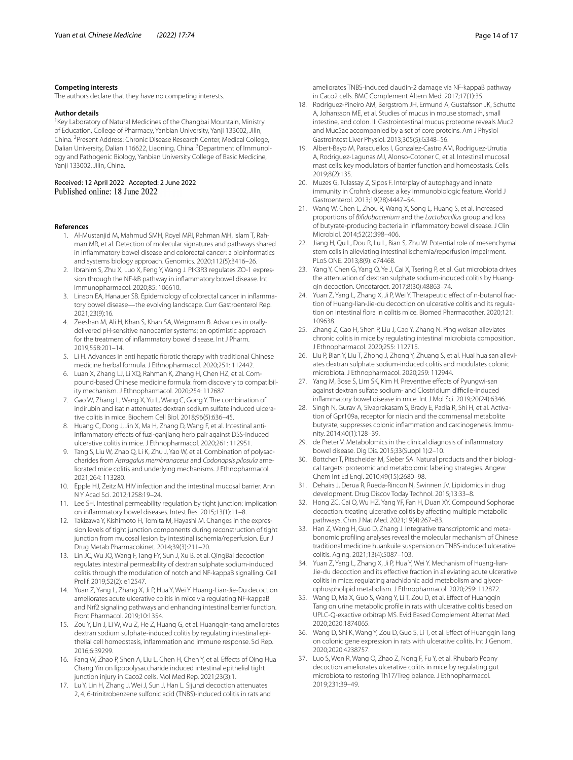#### **Competing interests**

The authors declare that they have no competing interests.

#### **Author details**

<sup>1</sup> Key Laboratory of Natural Medicines of the Changbai Mountain, Ministry of Education, College of Pharmacy, Yanbian University, Yanji 133002, Jilin, China. <sup>2</sup> Present Address: Chronic Disease Research Center, Medical College, Dalian University, Dalian 116622, Liaoning, China. <sup>3</sup> Department of Immunology and Pathogenic Biology, Yanbian University College of Basic Medicine, Yanji 133002, Jilin, China.

Received: 12 April 2022 Accepted: 2 June 2022

#### <span id="page-13-0"></span>**References**

- 1. Al-Mustanjid M, Mahmud SMH, Royel MRI, Rahman MH, Islam T, Rahman MR, et al. Detection of molecular signatures and pathways shared in infammatory bowel disease and colorectal cancer: a bioinformatics and systems biology approach. Genomics. 2020;112(5):3416–26.
- <span id="page-13-1"></span>2. Ibrahim S, Zhu X, Luo X, Feng Y, Wang J. PIK3R3 regulates ZO-1 expression through the NF-kB pathway in infammatory bowel disease. Int Immunopharmacol. 2020;85: 106610.
- <span id="page-13-2"></span>3. Linson EA, Hanauer SB. Epidemiology of colorectal cancer in inflammatory bowel disease—the evolving landscape. Curr Gastroenterol Rep. 2021;23(9):16.
- <span id="page-13-3"></span>4. Zeeshan M, Ali H, Khan S, Khan SA, Weigmann B. Advances in orallydelivered pH-sensitive nanocarrier systems; an optimistic approach for the treatment of infammatory bowel disease. Int J Pharm. 2019;558:201–14.
- <span id="page-13-4"></span>5. Li H. Advances in anti hepatic fbrotic therapy with traditional Chinese medicine herbal formula. J Ethnopharmacol. 2020;251: 112442.
- <span id="page-13-5"></span>6. Luan X, Zhang LJ, Li XQ, Rahman K, Zhang H, Chen HZ, et al. Compound-based Chinese medicine formula: from discovery to compatibility mechanism. J Ethnopharmacol. 2020;254: 112687.
- <span id="page-13-6"></span>7. Gao W, Zhang L, Wang X, Yu L, Wang C, Gong Y. The combination of indirubin and isatin attenuates dextran sodium sulfate induced ulcerative colitis in mice. Biochem Cell Biol. 2018;96(5):636–45.
- <span id="page-13-35"></span>8. Huang C, Dong J, Jin X, Ma H, Zhang D, Wang F, et al. Intestinal antiinfammatory efects of fuzi-ganjiang herb pair against DSS-induced ulcerative colitis in mice. J Ethnopharmacol. 2020;261: 112951.
- <span id="page-13-7"></span>Tang S, Liu W, Zhao Q, Li K, Zhu J, Yao W, et al. Combination of polysaccharides from *Astragalus membranaceus* and *Codonopsis pilosula* ame‑ liorated mice colitis and underlying mechanisms. J Ethnopharmacol. 2021;264: 113280.
- <span id="page-13-8"></span>10. Epple HJ, Zeitz M. HIV infection and the intestinal mucosal barrier. Ann N Y Acad Sci. 2012;1258:19–24.
- <span id="page-13-9"></span>11. Lee SH. Intestinal permeability regulation by tight junction: implication on infammatory bowel diseases. Intest Res. 2015;13(1):11–8.
- <span id="page-13-10"></span>12. Takizawa Y, Kishimoto H, Tomita M, Hayashi M. Changes in the expression levels of tight junction components during reconstruction of tight junction from mucosal lesion by intestinal ischemia/reperfusion. Eur J Drug Metab Pharmacokinet. 2014;39(3):211–20.
- <span id="page-13-11"></span>13. Lin JC, Wu JQ, Wang F, Tang FY, Sun J, Xu B, et al. QingBai decoction regulates intestinal permeability of dextran sulphate sodium-induced colitis through the modulation of notch and NF-kappaB signalling. Cell Prolif. 2019;52(2): e12547.
- <span id="page-13-16"></span>14. Yuan Z, Yang L, Zhang X, Ji P, Hua Y, Wei Y. Huang-Lian-Jie-Du decoction ameliorates acute ulcerative colitis in mice via regulating NF-kappaB and Nrf2 signaling pathways and enhancing intestinal barrier function. Front Pharmacol. 2019;10:1354.
- <span id="page-13-12"></span>15. Zou Y, Lin J, Li W, Wu Z, He Z, Huang G, et al. Huangqin-tang ameliorates dextran sodium sulphate-induced colitis by regulating intestinal epithelial cell homeostasis, infammation and immune response. Sci Rep. 2016;6:39299.
- <span id="page-13-13"></span>16. Fang W, Zhao P, Shen A, Liu L, Chen H, Chen Y, et al. Efects of Qing Hua Chang Yin on lipopolysaccharide induced intestinal epithelial tight junction injury in Caco2 cells. Mol Med Rep. 2021;23(3):1.
- <span id="page-13-14"></span>17. Lu Y, Lin H, Zhang J, Wei J, Sun J, Han L. Sijunzi decoction attenuates 2, 4, 6-trinitrobenzene sulfonic acid (TNBS)-induced colitis in rats and

ameliorates TNBS-induced claudin-2 damage via NF-kappaB pathway in Caco2 cells. BMC Complement Altern Med. 2017;17(1):35.

- <span id="page-13-15"></span>18. Rodriguez-Pineiro AM, Bergstrom JH, Ermund A, Gustafsson JK, Schutte A, Johansson ME, et al. Studies of mucus in mouse stomach, small intestine, and colon. II. Gastrointestinal mucus proteome reveals Muc2 and Muc5ac accompanied by a set of core proteins. Am J Physiol Gastrointest Liver Physiol. 2013;305(5):G348–56.
- <span id="page-13-17"></span>19. Albert-Bayo M, Paracuellos I, Gonzalez-Castro AM, Rodriguez-Urrutia A, Rodriguez-Lagunas MJ, Alonso-Cotoner C, et al. Intestinal mucosal mast cells: key modulators of barrier function and homeostasis. Cells. 2019;8(2):135.
- <span id="page-13-18"></span>20. Muzes G, Tulassay Z, Sipos F. Interplay of autophagy and innate immunity in Crohn's disease: a key immunobiologic feature. World J Gastroenterol. 2013;19(28):4447–54.
- <span id="page-13-19"></span>21. Wang W, Chen L, Zhou R, Wang X, Song L, Huang S, et al. Increased proportions of *Bifdobacterium* and the *Lactobacillus* group and loss of butyrate-producing bacteria in infammatory bowel disease. J Clin Microbiol. 2014;52(2):398–406.
- <span id="page-13-20"></span>22. Jiang H, Qu L, Dou R, Lu L, Bian S, Zhu W. Potential role of mesenchymal stem cells in alleviating intestinal ischemia/reperfusion impairment. PLoS ONE. 2013;8(9): e74468.
- <span id="page-13-21"></span>23. Yang Y, Chen G, Yang Q, Ye J, Cai X, Tsering P, et al. Gut microbiota drives the attenuation of dextran sulphate sodium-induced colitis by Huangqin decoction. Oncotarget. 2017;8(30):48863–74.
- <span id="page-13-36"></span>24. Yuan Z, Yang L, Zhang X, Ji P, Wei Y. Therapeutic effect of n-butanol fraction of Huang-lian-Jie-du decoction on ulcerative colitis and its regulation on intestinal flora in colitis mice. Biomed Pharmacother. 2020;121: 109638.
- <span id="page-13-22"></span>25. Zhang Z, Cao H, Shen P, Liu J, Cao Y, Zhang N. Ping weisan alleviates chronic colitis in mice by regulating intestinal microbiota composition. J Ethnopharmacol. 2020;255: 112715.
- <span id="page-13-23"></span>26. Liu P, Bian Y, Liu T, Zhong J, Zhong Y, Zhuang S, et al. Huai hua san alleviates dextran sulphate sodium-induced colitis and modulates colonic microbiota. J Ethnopharmacol. 2020;259: 112944.
- <span id="page-13-24"></span>27. Yang M, Bose S, Lim SK, Kim H. Preventive effects of Pyungwi-san against dextran sulfate sodium- and Clostridium difficile-induced infammatory bowel disease in mice. Int J Mol Sci. 2019;20(24):6346.
- <span id="page-13-25"></span>28. Singh N, Gurav A, Sivaprakasam S, Brady E, Padia R, Shi H, et al. Activation of Gpr109a, receptor for niacin and the commensal metabolite butyrate, suppresses colonic inflammation and carcinogenesis. Immunity. 2014;40(1):128–39.
- <span id="page-13-26"></span>29. de Preter V. Metabolomics in the clinical diagnosis of infammatory bowel disease. Dig Dis. 2015;33(Suppl 1):2–10.
- <span id="page-13-27"></span>30. Bottcher T, Pitscheider M, Sieber SA. Natural products and their biological targets: proteomic and metabolomic labeling strategies. Angew Chem Int Ed Engl. 2010;49(15):2680–98.
- <span id="page-13-28"></span>31. Dehairs J, Derua R, Rueda-Rincon N, Swinnen JV. Lipidomics in drug development. Drug Discov Today Technol. 2015;13:33–8.
- <span id="page-13-29"></span>32. Hong ZC, Cai Q, Wu HZ, Yang YF, Fan H, Duan XY. Compound Sophorae decoction: treating ulcerative colitis by afecting multiple metabolic pathways. Chin J Nat Med. 2021;19(4):267–83.
- <span id="page-13-30"></span>33. Han Z, Wang H, Guo D, Zhang J. Integrative transcriptomic and metabonomic profling analyses reveal the molecular mechanism of Chinese traditional medicine huankuile suspension on TNBS-induced ulcerative colitis. Aging. 2021;13(4):5087–103.
- <span id="page-13-31"></span>34. Yuan Z, Yang L, Zhang X, Ji P, Hua Y, Wei Y. Mechanism of Huang-lian-Jie-du decoction and its efective fraction in alleviating acute ulcerative colitis in mice: regulating arachidonic acid metabolism and glycerophospholipid metabolism. J Ethnopharmacol. 2020;259: 112872.
- <span id="page-13-32"></span>Wang D, Ma X, Guo S, Wang Y, Li T, Zou D, et al. Effect of Huangqin Tang on urine metabolic profle in rats with ulcerative colitis based on UPLC-Q-exactive orbitrap MS. Evid Based Complement Alternat Med. 2020;2020:1874065.
- <span id="page-13-33"></span>36. Wang D, Shi K, Wang Y, Zou D, Guo S, Li T, et al. Efect of Huangqin Tang on colonic gene expression in rats with ulcerative colitis. Int J Genom. 2020;2020:4238757.
- <span id="page-13-34"></span>Luo S, Wen R, Wang Q, Zhao Z, Nong F, Fu Y, et al. Rhubarb Peony decoction ameliorates ulcerative colitis in mice by regulating gut microbiota to restoring Th17/Treg balance. J Ethnopharmacol. 2019;231:39–49.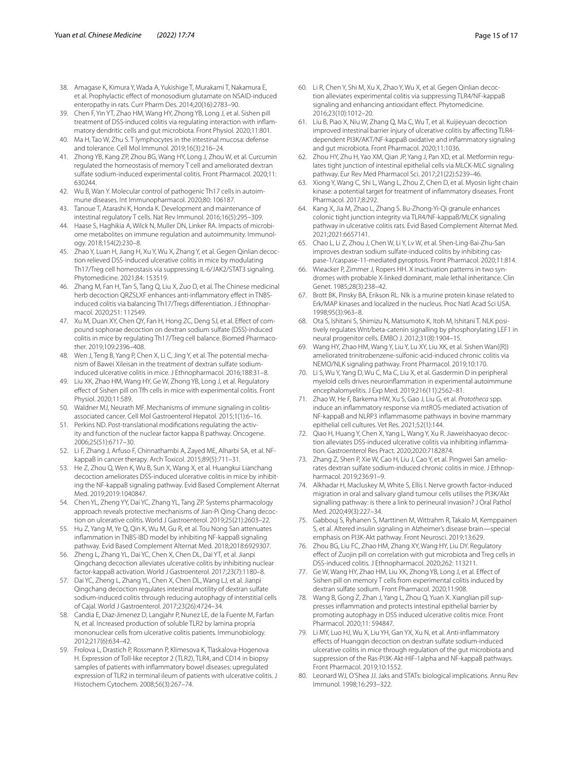- <span id="page-14-0"></span>38. Amagase K, Kimura Y, Wada A, Yukishige T, Murakami T, Nakamura E, et al. Prophylactic efect of monosodium glutamate on NSAID-induced enteropathy in rats. Curr Pharm Des. 2014;20(16):2783–90.
- <span id="page-14-1"></span>39. Chen F, Yin YT, Zhao HM, Wang HY, Zhong YB, Long J, et al. Sishen pill treatment of DSS-induced colitis via regulating interaction with inflammatory dendritic cells and gut microbiota. Front Physiol. 2020;11:801.
- <span id="page-14-2"></span>40. Ma H, Tao W, Zhu S. T lymphocytes in the intestinal mucosa: defense and tolerance. Cell Mol Immunol. 2019;16(3):216–24.
- <span id="page-14-3"></span>41. Zhong YB, Kang ZP, Zhou BG, Wang HY, Long J, Zhou W, et al. Curcumin regulated the homeostasis of memory T cell and ameliorated dextran sulfate sodium-induced experimental colitis. Front Pharmacol. 2020;11: 630244.
- <span id="page-14-4"></span>42. Wu B, Wan Y. Molecular control of pathogenic Th17 cells in autoimmune diseases. Int Immunopharmacol. 2020;80: 106187.
- <span id="page-14-5"></span>43. Tanoue T, Atarashi K, Honda K. Development and maintenance of intestinal regulatory T cells. Nat Rev Immunol. 2016;16(5):295–309.
- <span id="page-14-6"></span>44. Haase S, Haghikia A, Wilck N, Muller DN, Linker RA. Impacts of microbiome metabolites on immune regulation and autoimmunity. Immunology. 2018;154(2):230–8.
- <span id="page-14-7"></span>45. Zhao Y, Luan H, Jiang H, Xu Y, Wu X, Zhang Y, et al. Gegen Qinlian decoction relieved DSS-induced ulcerative colitis in mice by modulating Th17/Treg cell homeostasis via suppressing IL-6/JAK2/STAT3 signaling. Phytomedicine. 2021;84: 153519.
- <span id="page-14-8"></span>46. Zhang M, Fan H, Tan S, Tang Q, Liu X, Zuo D, et al. The Chinese medicinal herb decoction QRZSLXF enhances anti-inflammatory effect in TNBSinduced colitis via balancing Th17/Tregs differentiation. J Ethnopharmacol. 2020;251: 112549.
- <span id="page-14-9"></span>47. Xu M, Duan XY, Chen QY, Fan H, Hong ZC, Deng SJ, et al. Effect of compound sophorae decoction on dextran sodium sulfate (DSS)-induced colitis in mice by regulating Th17/Treg cell balance. Biomed Pharmacother. 2019;109:2396–408.
- <span id="page-14-10"></span>48. Wen J, Teng B, Yang P, Chen X, Li C, Jing Y, et al. The potential mechanism of Bawei Xileisan in the treatment of dextran sulfate sodiuminduced ulcerative colitis in mice. J Ethnopharmacol. 2016;188:31–8.
- <span id="page-14-11"></span>49. Liu XK, Zhao HM, Wang HY, Ge W, Zhong YB, Long J, et al. Regulatory efect of Sishen pill on Tfh cells in mice with experimental colitis. Front Physiol. 2020;11:589.
- <span id="page-14-12"></span>50. Waldner MJ, Neurath MF. Mechanisms of immune signaling in colitisassociated cancer. Cell Mol Gastroenterol Hepatol. 2015;1(1):6–16.
- <span id="page-14-13"></span>51. Perkins ND. Post-translational modifications regulating the activity and function of the nuclear factor kappa B pathway. Oncogene. 2006;25(51):6717–30.
- <span id="page-14-14"></span>52. Li F, Zhang J, Arfuso F, Chinnathambi A, Zayed ME, Alharbi SA, et al. NFkappaB in cancer therapy. Arch Toxicol. 2015;89(5):711–31.
- <span id="page-14-15"></span>53. He Z, Zhou Q, Wen K, Wu B, Sun X, Wang X, et al. Huangkui Lianchang decoction ameliorates DSS-induced ulcerative colitis in mice by inhibiting the NF-kappaB signaling pathway. Evid Based Complement Alternat Med. 2019;2019:1040847.
- <span id="page-14-16"></span>54. Chen YL, Zheng YY, Dai YC, Zhang YL, Tang ZP. Systems pharmacology approach reveals protective mechanisms of Jian-Pi Qing-Chang decoction on ulcerative colitis. World J Gastroenterol. 2019;25(21):2603–22.
- <span id="page-14-41"></span>55. Hu Z, Yang M, Ye Q, Qin K, Wu M, Gu R, et al. Tou Nong San attenuates infammation in TNBS-IBD model by inhibiting NF-kappaB signaling pathway. Evid Based Complement Alternat Med. 2018;2018:6929307.
- <span id="page-14-42"></span>56. Zheng L, Zhang YL, Dai YC, Chen X, Chen DL, Dai YT, et al. Jianpi Qingchang decoction alleviates ulcerative colitis by inhibiting nuclear factor-kappaB activation. World J Gastroenterol. 2017;23(7):1180–8.
- <span id="page-14-17"></span>57. Dai YC, Zheng L, Zhang YL, Chen X, Chen DL, Wang LJ, et al. Jianpi Qingchang decoction regulates intestinal motility of dextran sulfate sodium-induced colitis through reducing autophagy of interstitial cells of Cajal. World J Gastroenterol. 2017;23(26):4724–34.
- <span id="page-14-18"></span>58. Candia E, Diaz-Jimenez D, Langjahr P, Nunez LE, de la Fuente M, Farfan N, et al. Increased production of soluble TLR2 by lamina propria mononuclear cells from ulcerative colitis patients. Immunobiology. 2012;217(6):634–42.
- <span id="page-14-19"></span>59. Frolova L, Drastich P, Rossmann P, Klimesova K, Tlaskalova-Hogenova H. Expression of Toll-like receptor 2 (TLR2), TLR4, and CD14 in biopsy samples of patients with infammatory bowel diseases: upregulated expression of TLR2 in terminal ileum of patients with ulcerative colitis. J Histochem Cytochem. 2008;56(3):267–74.
- <span id="page-14-20"></span>60. Li R, Chen Y, Shi M, Xu X, Zhao Y, Wu X, et al. Gegen Qinlian decoction alleviates experimental colitis via suppressing TLR4/NF-kappaB signaling and enhancing antioxidant effect. Phytomedicine. 2016;23(10):1012–20.
- <span id="page-14-21"></span>61. Liu B, Piao X, Niu W, Zhang Q, Ma C, Wu T, et al. Kuijieyuan decoction improved intestinal barrier injury of ulcerative colitis by afecting TLR4dependent PI3K/AKT/NF-kappaB oxidative and infammatory signaling and gut microbiota. Front Pharmacol. 2020;11:1036.
- <span id="page-14-22"></span>Zhou HY, Zhu H, Yao XM, Qian JP, Yang J, Pan XD, et al. Metformin regulates tight junction of intestinal epithelial cells via MLCK-MLC signaling pathway. Eur Rev Med Pharmacol Sci. 2017;21(22):5239–46.
- <span id="page-14-23"></span>63. Xiong Y, Wang C, Shi L, Wang L, Zhou Z, Chen D, et al. Myosin light chain kinase: a potential target for treatment of infammatory diseases. Front Pharmacol. 2017;8:292.
- <span id="page-14-24"></span>64. Kang X, Jia M, Zhao L, Zhang S. Bu-Zhong-Yi-Qi granule enhances colonic tight junction integrity via TLR4/NF-kappaB/MLCK signaling pathway in ulcerative colitis rats. Evid Based Complement Alternat Med. 2021;2021:6657141.
- <span id="page-14-25"></span>65. Chao L, Li Z, Zhou J, Chen W, Li Y, Lv W, et al. Shen-Ling-Bai-Zhu-San improves dextran sodium sulfate-induced colitis by inhibiting caspase-1/caspase-11-mediated pyroptosis. Front Pharmacol. 2020;11:814.
- <span id="page-14-26"></span>66. Wieacker P, Zimmer J, Ropers HH. X inactivation patterns in two syn‑ dromes with probable X-linked dominant, male lethal inheritance. Clin Genet. 1985;28(3):238–42.
- <span id="page-14-27"></span>67. Brott BK, Pinsky BA, Erikson RL. Nlk is a murine protein kinase related to Erk/MAP kinases and localized in the nucleus. Proc Natl Acad Sci USA. 1998;95(3):963–8.
- <span id="page-14-28"></span>68. Ota S, Ishitani S, Shimizu N, Matsumoto K, Itoh M, Ishitani T. NLK positively regulates Wnt/beta-catenin signalling by phosphorylating LEF1 in neural progenitor cells. EMBO J. 2012;31(8):1904–15.
- <span id="page-14-29"></span>69. Wang HY, Zhao HM, Wang Y, Liu Y, Lu XY, Liu XK, et al. Sishen Wan((R)) ameliorated trinitrobenzene-sulfonic-acid-induced chronic colitis via NEMO/NLK signaling pathway. Front Pharmacol. 2019;10:170.
- <span id="page-14-30"></span>70. Li S, Wu Y, Yang D, Wu C, Ma C, Liu X, et al. Gasdermin D in peripheral myeloid cells drives neuroinfammation in experimental autoimmune encephalomyelitis. J Exp Med. 2019;216(11):2562–81.
- <span id="page-14-31"></span>71. Zhao W, He F, Barkema HW, Xu S, Gao J, Liu G, et al. *Prototheca* spp. induce an infammatory response via mtROS-mediated activation of NF-kappaB and NLRP3 infammasome pathways in bovine mammary epithelial cell cultures. Vet Res. 2021;52(1):144.
- <span id="page-14-32"></span>72. Qiao H, Huang Y, Chen X, Yang L, Wang Y, Xu R. Jiaweishaoyao decoc‑ tion alleviates DSS-induced ulcerative colitis via inhibiting inflammation. Gastroenterol Res Pract. 2020;2020:7182874.
- <span id="page-14-33"></span>73. Zhang Z, Shen P, Xie W, Cao H, Liu J, Cao Y, et al. Pingwei San ameliorates dextran sulfate sodium-induced chronic colitis in mice. J Ethnopharmacol. 2019;236:91–9.
- <span id="page-14-34"></span>74. Alkhadar H, Macluskey M, White S, Ellis I. Nerve growth factor-induced migration in oral and salivary gland tumour cells utilises the PI3K/Akt signalling pathway: is there a link to perineural invasion? J Oral Pathol Med. 2020;49(3):227–34.
- <span id="page-14-35"></span>75. Gabbouj S, Ryhanen S, Marttinen M, Wittrahm R, Takalo M, Kemppainen S, et al. Altered insulin signaling in Alzheimer's disease brain—special emphasis on PI3K-Akt pathway. Front Neurosci. 2019;13:629.
- <span id="page-14-36"></span>76. Zhou BG, Liu FC, Zhao HM, Zhang XY, Wang HY, Liu DY. Regulatory efect of Zuojin pill on correlation with gut microbiota and Treg cells in DSS-induced colitis. J Ethnopharmacol. 2020;262: 113211.
- <span id="page-14-37"></span>77. Ge W, Wang HY, Zhao HM, Liu XK, Zhong YB, Long J, et al. Efect of Sishen pill on memory T cells from experimental colitis induced by dextran sulfate sodium. Front Pharmacol. 2020;11:908.
- <span id="page-14-38"></span>Wang B, Gong Z, Zhan J, Yang L, Zhou Q, Yuan X. Xianglian pill suppresses infammation and protects intestinal epithelial barrier by promoting autophagy in DSS induced ulcerative colitis mice. Front Pharmacol. 2020;11: 594847.
- <span id="page-14-39"></span>79. Li MY, Luo HJ, Wu X, Liu YH, Gan YX, Xu N, et al. Anti-infammatory efects of Huangqin decoction on dextran sulfate sodium-induced ulcerative colitis in mice through regulation of the gut microbiota and suppression of the Ras-PI3K-Akt-HIF-1alpha and NF-kappaB pathways. Front Pharmacol. 2019;10:1552.
- <span id="page-14-40"></span>80. Leonard WJ, O'Shea JJ. Jaks and STATs: biological implications. Annu Rev Immunol. 1998;16:293–322.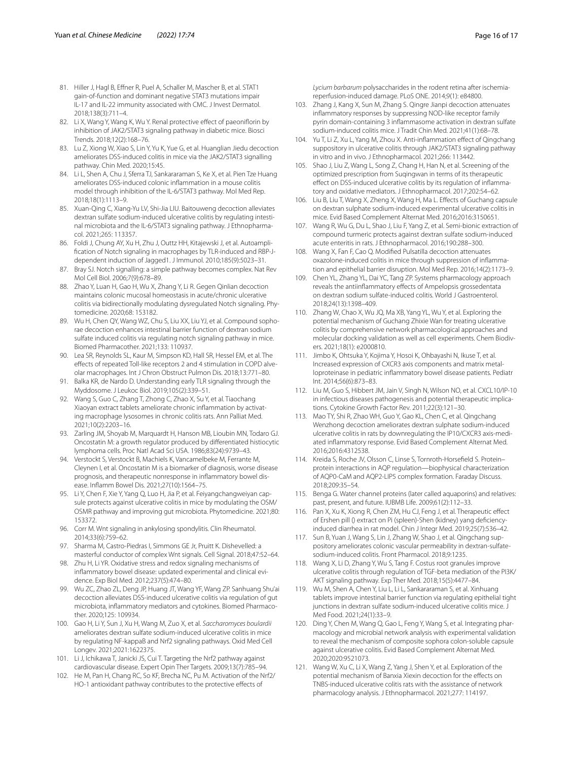- <span id="page-15-0"></span>81. Hiller J, Hagl B, Effner R, Puel A, Schaller M, Mascher B, et al. STAT1 gain-of-function and dominant negative STAT3 mutations impair IL-17 and IL-22 immunity associated with CMC. J Invest Dermatol. 2018;138(3):711–4.
- <span id="page-15-1"></span>82. Li X, Wang Y, Wang K, Wu Y. Renal protective effect of paeoniflorin by inhibition of JAK2/STAT3 signaling pathway in diabetic mice. Biosci Trends. 2018;12(2):168–76.
- <span id="page-15-2"></span>83. Lu Z, Xiong W, Xiao S, Lin Y, Yu K, Yue G, et al. Huanglian Jiedu decoction ameliorates DSS-induced colitis in mice via the JAK2/STAT3 signalling pathway. Chin Med. 2020;15:45.
- <span id="page-15-3"></span>84. Li L, Shen A, Chu J, Sferra TJ, Sankararaman S, Ke X, et al. Pien Tze Huang ameliorates DSS-induced colonic infammation in a mouse colitis model through inhibition of the IL-6/STAT3 pathway. Mol Med Rep. 2018;18(1):1113–9.
- <span id="page-15-4"></span>85. Xuan-Qing C, Xiang-Yu LV, Shi-Jia LIU. Baitouweng decoction alleviates dextran sulfate sodium-induced ulcerative colitis by regulating intestinal microbiota and the IL-6/STAT3 signaling pathway. J Ethnopharmacol. 2021;265: 113357.
- <span id="page-15-5"></span>86. Foldi J, Chung AY, Xu H, Zhu J, Outtz HH, Kitajewski J, et al. Autoamplifcation of Notch signaling in macrophages by TLR-induced and RBP-Jdependent induction of Jagged1. J Immunol. 2010;185(9):5023–31.
- <span id="page-15-6"></span>87. Bray SJ. Notch signalling: a simple pathway becomes complex. Nat Rev Mol Cell Biol. 2006;7(9):678–89.
- <span id="page-15-7"></span>88. Zhao Y, Luan H, Gao H, Wu X, Zhang Y, Li R. Gegen Qinlian decoction maintains colonic mucosal homeostasis in acute/chronic ulcerative colitis via bidirectionally modulating dysregulated Notch signaling. Phytomedicine. 2020;68: 153182.
- <span id="page-15-8"></span>89. Wu H, Chen QY, Wang WZ, Chu S, Liu XX, Liu YJ, et al. Compound sophorae decoction enhances intestinal barrier function of dextran sodium sulfate induced colitis via regulating notch signaling pathway in mice. Biomed Pharmacother. 2021;133: 110937.
- <span id="page-15-9"></span>90. Lea SR, Reynolds SL, Kaur M, Simpson KD, Hall SR, Hessel EM, et al. The effects of repeated Toll-like receptors 2 and 4 stimulation in COPD alveolar macrophages. Int J Chron Obstruct Pulmon Dis. 2018;13:771–80.
- <span id="page-15-10"></span>91. Balka KR, de Nardo D. Understanding early TLR signaling through the Myddosome. J Leukoc Biol. 2019;105(2):339–51.
- <span id="page-15-11"></span>92. Wang S, Guo C, Zhang T, Zhong C, Zhao X, Su Y, et al. Tiaochang Xiaoyan extract tablets ameliorate chronic inflammation by activating macrophage lysosomes in chronic colitis rats. Ann Palliat Med. 2021;10(2):2203–16.
- <span id="page-15-12"></span>93. Zarling JM, Shoyab M, Marquardt H, Hanson MB, Lioubin MN, Todaro GJ. Oncostatin M: a growth regulator produced by diferentiated histiocytic lymphoma cells. Proc Natl Acad Sci USA. 1986;83(24):9739–43.
- <span id="page-15-13"></span>94. Verstockt S, Verstockt B, Machiels K, Vancamelbeke M, Ferrante M, Cleynen I, et al. Oncostatin M is a biomarker of diagnosis, worse disease prognosis, and therapeutic nonresponse in infammatory bowel dis‑ ease. Infamm Bowel Dis. 2021;27(10):1564–75.
- <span id="page-15-14"></span>95. Li Y, Chen F, Xie Y, Yang Q, Luo H, Jia P, et al. Feiyangchangweiyan capsule protects against ulcerative colitis in mice by modulating the OSM/ OSMR pathway and improving gut microbiota. Phytomedicine. 2021;80: 153372.
- <span id="page-15-15"></span>96. Corr M. Wnt signaling in ankylosing spondylitis. Clin Rheumatol. 2014;33(6):759–62.
- <span id="page-15-16"></span>97. Sharma M, Castro-Piedras I, Simmons GE Jr, Pruitt K. Dishevelled: a masterful conductor of complex Wnt signals. Cell Signal. 2018;47:52–64.
- <span id="page-15-17"></span>98. Zhu H, Li YR. Oxidative stress and redox signaling mechanisms of inflammatory bowel disease: updated experimental and clinical evidence. Exp Biol Med. 2012;237(5):474–80.
- <span id="page-15-18"></span>99. Wu ZC, Zhao ZL, Deng JP, Huang JT, Wang YF, Wang ZP. Sanhuang Shu'ai decoction alleviates DSS-induced ulcerative colitis via regulation of gut microbiota, inflammatory mediators and cytokines. Biomed Pharmacother. 2020;125: 109934.
- <span id="page-15-19"></span>100. Gao H, Li Y, Sun J, Xu H, Wang M, Zuo X, et al. *Saccharomyces boulardii* ameliorates dextran sulfate sodium-induced ulcerative colitis in mice by regulating NF-kappaB and Nrf2 signaling pathways. Oxid Med Cell Longev. 2021;2021:1622375.
- <span id="page-15-20"></span>101. Li J, Ichikawa T, Janicki JS, Cui T. Targeting the Nrf2 pathway against cardiovascular disease. Expert Opin Ther Targets. 2009;13(7):785–94.
- <span id="page-15-21"></span>102. He M, Pan H, Chang RC, So KF, Brecha NC, Pu M. Activation of the Nrf2/ HO-1 antioxidant pathway contributes to the protective effects of

*Lycium barbarum* polysaccharides in the rodent retina after ischemiareperfusion-induced damage. PLoS ONE. 2014;9(1): e84800.

- <span id="page-15-22"></span>103. Zhang J, Kang X, Sun M, Zhang S. Qingre Jianpi decoction attenuates infammatory responses by suppressing NOD-like receptor family pyrin domain-containing 3 infammasome activation in dextran sulfate sodium-induced colitis mice. J Tradit Chin Med. 2021;41(1):68–78.
- <span id="page-15-37"></span>104. Yu T, Li Z, Xu L, Yang M, Zhou X. Anti-infammation efect of Qingchang suppository in ulcerative colitis through JAK2/STAT3 signaling pathway in vitro and in vivo. J Ethnopharmacol. 2021;266: 113442.
- <span id="page-15-23"></span>105. Shao J, Liu Z, Wang L, Song Z, Chang H, Han N, et al. Screening of the optimized prescription from Suqingwan in terms of its therapeutic effect on DSS-induced ulcerative colitis by its regulation of inflammatory and oxidative mediators. J Ethnopharmacol. 2017;202:54–62.
- <span id="page-15-24"></span>106. Liu B, Liu T, Wang X, Zheng X, Wang H, Ma L. Efects of Guchang capsule on dextran sulphate sodium-induced experimental ulcerative colitis in mice. Evid Based Complement Alternat Med. 2016;2016:3150651.
- <span id="page-15-38"></span>107. Wang R, Wu G, Du L, Shao J, Liu F, Yang Z, et al. Semi-bionic extraction of compound turmeric protects against dextran sulfate sodium-induced acute enteritis in rats. J Ethnopharmacol. 2016;190:288–300.
- <span id="page-15-39"></span>108. Wang X, Fan F, Cao Q. Modifed Pulsatilla decoction attenuates oxazolone-induced colitis in mice through suppression of inflammation and epithelial barrier disruption. Mol Med Rep. 2016;14(2):1173–9.
- <span id="page-15-40"></span>109. Chen YL, Zhang YL, Dai YC, Tang ZP. Systems pharmacology approach reveals the antiinfammatory efects of Ampelopsis grossedentata on dextran sodium sulfate-induced colitis. World J Gastroenterol. 2018;24(13):1398–409.
- <span id="page-15-25"></span>110. Zhang W, Chao X, Wu JQ, Ma XB, Yang YL, Wu Y, et al. Exploring the potential mechanism of Guchang Zhixie Wan for treating ulcerative colitis by comprehensive network pharmacological approaches and molecular docking validation as well as cell experiments. Chem Biodivers. 2021;18(1): e2000810.
- <span id="page-15-26"></span>111. Jimbo K, Ohtsuka Y, Kojima Y, Hosoi K, Ohbayashi N, Ikuse T, et al. Increased expression of CXCR3 axis components and matrix metal‑ loproteinase in pediatric infammatory bowel disease patients. Pediatr Int. 2014;56(6):873–83.
- <span id="page-15-27"></span>112. Liu M, Guo S, Hibbert JM, Jain V, Singh N, Wilson NO, et al. CXCL10/IP-10 in infectious diseases pathogenesis and potential therapeutic implications. Cytokine Growth Factor Rev. 2011;22(3):121–30.
- <span id="page-15-28"></span>113. Mao TY, Shi R, Zhao WH, Guo Y, Gao KL, Chen C, et al. Qingchang Wenzhong decoction ameliorates dextran sulphate sodium-induced ulcerative colitis in rats by downregulating the IP10/CXCR3 axis-mediated infammatory response. Evid Based Complement Alternat Med. 2016;2016:4312538.
- <span id="page-15-29"></span>114. Kreida S, Roche JV, Olsson C, Linse S, Tornroth-Horsefeld S. Protein– protein interactions in AQP regulation—biophysical characterization of AQP0-CaM and AQP2-LIP5 complex formation. Faraday Discuss. 2018;209:35–54.
- <span id="page-15-30"></span>115. Benga G. Water channel proteins (later called aquaporins) and relatives: past, present, and future. IUBMB Life. 2009;61(2):112–33.
- <span id="page-15-31"></span>116. Pan X, Xu K, Xiong R, Chen ZM, Hu CJ, Feng J, et al. Therapeutic efect of Ershen pill () extract on Pi (spleen)-Shen (kidney) yang defciencyinduced diarrhea in rat model. Chin J Integr Med. 2019;25(7):536–42.
- <span id="page-15-32"></span>117. Sun B, Yuan J, Wang S, Lin J, Zhang W, Shao J, et al. Qingchang suppository ameliorates colonic vascular permeability in dextran-sulfatesodium-induced colitis. Front Pharmacol. 2018;9:1235.
- <span id="page-15-33"></span>118. Wang X, Li D, Zhang Y, Wu S, Tang F. Costus root granules improve ulcerative colitis through regulation of TGF-beta mediation of the PI3K/ AKT signaling pathway. Exp Ther Med. 2018;15(5):4477–84.
- <span id="page-15-34"></span>119. Wu M, Shen A, Chen Y, Liu L, Li L, Sankararaman S, et al. Xinhuang tablets improve intestinal barrier function via regulating epithelial tight junctions in dextran sulfate sodium-induced ulcerative colitis mice. J Med Food. 2021;24(1):33–9.
- <span id="page-15-35"></span>120. Ding Y, Chen M, Wang Q, Gao L, Feng Y, Wang S, et al. Integrating pharmacology and microbial network analysis with experimental validation to reveal the mechanism of composite sophora colon-soluble capsule against ulcerative colitis. Evid Based Complement Alternat Med. 2020;2020:9521073.
- <span id="page-15-36"></span>121. Wang W, Xu C, Li X, Wang Z, Yang J, Shen Y, et al. Exploration of the potential mechanism of Banxia Xiexin decoction for the effects on TNBS-induced ulcerative colitis rats with the assistance of network pharmacology analysis. J Ethnopharmacol. 2021;277: 114197.